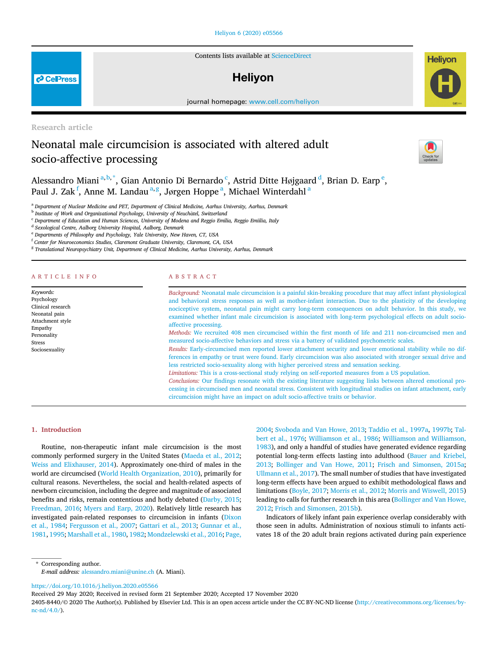### [Heliyon 6 \(2020\) e05566](https://doi.org/10.1016/j.heliyon.2020.e05566)

Contents lists available at [ScienceDirect](www.sciencedirect.com/science/journal/24058440)

# **Helivon**

journal homepage: [www.cell.com/heliyon](http://www.cell.com/heliyon)

Research article

**P** CellPress

# Neonatal male circumcision is associated with altered adult socio-affective processing



**Helivon** 

Aless[a](#page-0-0)ndro Miani<sup>a, [b,](#page-0-1)[\\*](#page-0-2)</sup>, Gian Antonio Di Bernardo <sup>[c](#page-0-3)</sup>, Astri[d](#page-0-4) Ditt[e](#page-0-5) Højgaard <sup>d</sup>, Brian D. Earp <sup>e</sup>, Paul J. Zak [f](#page-0-6), Anne M. L[a](#page-0-0)ndau <sup>a,[g](#page-0-7)</sup>, Jørgen Hoppe <sup>a</sup>, Michael Winterdahl <sup>a</sup>

<span id="page-0-0"></span><sup>a</sup> Department of Nuclear Medicine and PET, Department of Clinical Medicine, Aarhus University, Aarhus, Denmark

<span id="page-0-1"></span>**b** Institute of Work and Organizational Psychology, University of Neuchâtel, Switzerland

<span id="page-0-3"></span><sup>c</sup> Department of Education and Human Sciences, University of Modena and Reggio Emilia, Reggio Emiilia, Italy

<span id="page-0-4"></span><sup>d</sup> Sexological Centre, Aalborg University Hospital, Aalborg, Denmark

<span id="page-0-5"></span><sup>e</sup> Departments of Philosophy and Psychology, Yale University, New Haven, CT, USA

<span id="page-0-6"></span><sup>f</sup> Center for Neuroeconomics Studies, Claremont Graduate University, Claremont, CA, USA

<span id="page-0-7"></span><sup>g</sup> Translational Neuropsychiatry Unit, Department of Clinical Medicine, Aarhus University, Aarhus, Denmark

## ARTICLE INFO

Keywords: Psychology Clinical research Neonatal pain Attachment style Empathy Personality Stress Sociosexuality

# ABSTRACT

Background: Neonatal male circumcision is a painful skin-breaking procedure that may affect infant physiological and behavioral stress responses as well as mother-infant interaction. Due to the plasticity of the developing nociceptive system, neonatal pain might carry long-term consequences on adult behavior. In this study, we examined whether infant male circumcision is associated with long-term psychological effects on adult socioaffective processing. Methods: We recruited 408 men circumcised within the first month of life and 211 non-circumcised men and measured socio-affective behaviors and stress via a battery of validated psychometric scales. Results: Early-circumcised men reported lower attachment security and lower emotional stability while no differences in empathy or trust were found. Early circumcision was also associated with stronger sexual drive and less restricted socio-sexuality along with higher perceived stress and sensation seeking. Limitations: This is a cross-sectional study relying on self-reported measures from a US population. Conclusions: Our findings resonate with the existing literature suggesting links between altered emotional processing in circumcised men and neonatal stress. Consistent with longitudinal studies on infant attachment, early circumcision might have an impact on adult socio-affective traits or behavior.

## 1. Introduction

Routine, non-therapeutic infant male circumcision is the most commonly performed surgery in the United States [\(Maeda et al., 2012;](#page-8-0) [Weiss and Elixhauser, 2014](#page-9-0)). Approximately one-third of males in the world are circumcised [\(World Health Organization, 2010\)](#page-9-1), primarily for cultural reasons. Nevertheless, the social and health-related aspects of newborn circumcision, including the degree and magnitude of associated benefits and risks, remain contentious and hotly debated ([Darby, 2015;](#page-8-1) [Freedman, 2016](#page-8-2); [Myers and Earp, 2020\)](#page-9-2). Relatively little research has investigated pain-related responses to circumcision in infants [\(Dixon](#page-8-3) [et al., 1984](#page-8-3); [Fergusson et al., 2007;](#page-8-4) [Gattari et al., 2013;](#page-8-5) [Gunnar et al.,](#page-8-6) [1981,](#page-8-6) [1995](#page-8-7); [Marshall et al., 1980](#page-8-8), [1982;](#page-8-9) [Mondzelewski et al., 2016](#page-9-3); [Page,](#page-9-4)

[2004;](#page-9-4) [Svoboda and Van Howe, 2013](#page-9-5); [Taddio et al., 1997a](#page-9-6), [1997b](#page-9-7); [Tal](#page-9-8)[bert et al., 1976](#page-9-8); [Williamson et al., 1986;](#page-9-9) [Williamson and Williamson,](#page-9-10) [1983\)](#page-9-10), and only a handful of studies have generated evidence regarding potential long-term effects lasting into adulthood [\(Bauer and Kriebel,](#page-7-0) [2013;](#page-7-0) [Bollinger and Van Howe, 2011;](#page-7-1) [Frisch and Simonsen, 2015a;](#page-8-10) [Ullmann et al., 2017\)](#page-9-11). The small number of studies that have investigated long-term effects have been argued to exhibit methodological flaws and limitations [\(Boyle, 2017;](#page-8-11) [Morris et al., 2012](#page-9-12); [Morris and Wiswell, 2015\)](#page-9-13) leading to calls for further research in this area ([Bollinger and Van Howe,](#page-7-2) [2012;](#page-7-2) [Frisch and Simonsen, 2015b](#page-8-12)).

Indicators of likely infant pain experience overlap considerably with those seen in adults. Administration of noxious stimuli to infants activates 18 of the 20 adult brain regions activated during pain experience

<span id="page-0-2"></span>\* Corresponding author. E-mail address: [alessandro.miani@unine.ch](mailto:alessandro.miani@unine.ch) (A. Miani).

<https://doi.org/10.1016/j.heliyon.2020.e05566>

Received 29 May 2020; Received in revised form 21 September 2020; Accepted 17 November 2020

2405-8440/© 2020 The Author(s). Published by Elsevier Ltd. This is an open access article under the CC BY-NC-ND license [\(http://creativecommons.org/licenses/by](http://creativecommons.org/licenses/by-nc-nd/4.0/) $nc-nd/4.0/$ ).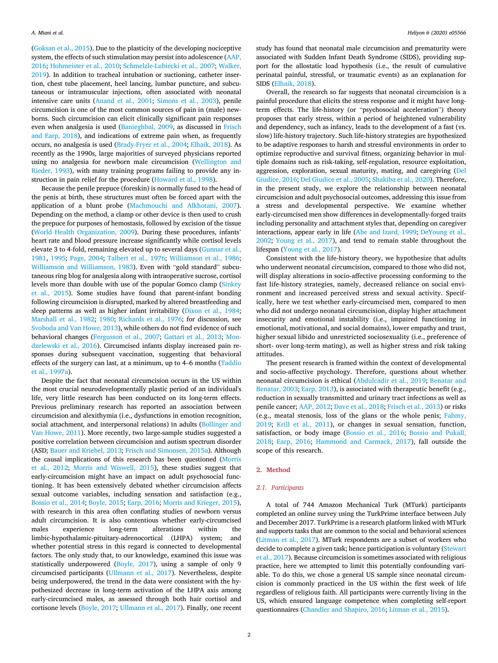([Goksan et al., 2015](#page-8-13)). Due to the plasticity of the developing nociceptive system, the effects of such stimulation may persist into adolescence [\(AAP,](#page-7-3) [2016;](#page-7-3) [Hohmeister et al., 2010;](#page-8-14) [Schmelzle-Lubiecki et al., 2007](#page-9-14); [Walker,](#page-9-15) [2019\)](#page-9-15). In addition to tracheal intubation or suctioning, catheter insertion, chest tube placement, heel lancing, lumbar puncture, and subcutaneous or intramuscular injections, often associated with neonatal intensive care units [\(Anand et al., 2001](#page-7-4); [Simons et al., 2003\)](#page-9-16), penile circumcision is one of the most common sources of pain in (male) newborns. Such circumcision can elicit clinically significant pain responses even when analgesia is used ([Banieghbal, 2009,](#page-7-5) as discussed in [Frisch](#page-8-15) [and Earp, 2018\)](#page-8-15), and indications of extreme pain when, as frequently occurs, no analgesia is used ([Brady-Fryer et al., 2004;](#page-8-16) [Elhaik, 2018\)](#page-8-17). As recently as the 1990s, large majorities of surveyed physicians reported using no analgesia for newborn male circumcision [\(Wellington and](#page-9-17) [Rieder, 1993](#page-9-17)), with many training programs failing to provide any instruction in pain relief for the procedure ([Howard et al., 1998\)](#page-8-18).

Because the penile prepuce (foreskin) is normally fused to the head of the penis at birth, these structures must often be forced apart with the application of a blunt probe [\(Machmouchi and Alkhotani, 2007\)](#page-8-19). Depending on the method, a clamp or other device is then used to crush the prepuce for purposes of hemostasis, followed by excision of the tissue ([World Health Organization, 2009\)](#page-9-18). During these procedures, infants' heart rate and blood pressure increase significantly while cortisol levels elevate 3 to 4-fold, remaining elevated up to several days [\(Gunnar et al.,](#page-8-6) [1981,](#page-8-6) [1995;](#page-8-7) [Page, 2004](#page-9-4); [Talbert et al., 1976;](#page-9-8) [Williamson et al., 1986;](#page-9-9) [Williamson and Williamson, 1983](#page-9-10)). Even with "gold standard" subcutaneous ring blog for analgesia along with intraoperative sucrose, cortisol levels more than double with use of the popular Gomco clamp [\(Sinkey](#page-9-19) [et al., 2015](#page-9-19)). Some studies have found that parent-infant bonding following circumcision is disrupted, marked by altered breastfeeding and sleep patterns as well as higher infant irritability ([Dixon et al., 1984;](#page-8-3) [Marshall et al., 1982](#page-8-9); [1980;](#page-8-8) [Richards et al., 1976;](#page-9-20) for discussion, see [Svoboda and Van Howe, 2013](#page-9-5)), while others do not find evidence of such behavioral changes ([Fergusson et al., 2007](#page-8-4); [Gattari et al., 2013](#page-8-5); [Mon](#page-9-3)[dzelewski et al., 2016](#page-9-3)). Circumcised infants display increased pain responses during subsequent vaccination, suggesting that behavioral effects of the surgery can last, at a minimum, up to 4–6 months [\(Taddio](#page-9-6) [et al., 1997a](#page-9-6)).

Despite the fact that neonatal circumcision occurs in the US within the most crucial neurodevelopmentally plastic period of an individual's life, very little research has been conducted on its long-term effects. Previous preliminary research has reported an association between circumcision and alexithymia (i.e., dysfunctions in emotion recognition, social attachment, and interpersonal relations) in adults [\(Bollinger and](#page-7-1) [Van Howe, 2011\)](#page-7-1). More recently, two large-sample studies suggested a positive correlation between circumcision and autism spectrum disorder (ASD; [Bauer and Kriebel, 2013](#page-7-0); [Frisch and Simonsen, 2015a\)](#page-8-10). Although the causal implications of this research has been questioned ([Morris](#page-9-12) [et al., 2012](#page-9-12); [Morris and Wiswell, 2015](#page-9-13)), these studies suggest that early-circumcision might have an impact on adult psychosocial functioning. It has been extensively debated whether circumcision affects sexual outcome variables, including sensation and satisfaction (e.g., [Bossio et al., 2014;](#page-8-20) [Boyle, 2015;](#page-8-21) [Earp, 2016;](#page-8-22) [Morris and Krieger, 2015\)](#page-9-21), with research in this area often conflating studies of newborn versus adult circumcision. It is also contentious whether early-circumcised males experience long-term alterations within the limbic-hypothalamic-pituitary-adrenocortical (LHPA) system; and whether potential stress in this regard is connected to developmental factors. The only study that, to our knowledge, examined this issue was statistically underpowered [\(Boyle, 2017](#page-8-11)), using a sample of only 9 circumcised participants [\(Ullmann et al., 2017](#page-9-11)). Nevertheless, despite being underpowered, the trend in the data were consistent with the hypothesized decrease in long-term activation of the LHPA axis among early-circumcised males, as assessed through both hair cortisol and cortisone levels [\(Boyle, 2017](#page-8-11); [Ullmann et al., 2017\)](#page-9-11). Finally, one recent study has found that neonatal male circumcision and prematurity were associated with Sudden Infant Death Syndrome (SIDS), providing support for the allostatic load hypothesis (i.e., the result of cumulative perinatal painful, stressful, or traumatic events) as an explanation for SIDS [\(Elhaik, 2018\)](#page-8-17).

Overall, the research so far suggests that neonatal circumcision is a painful procedure that elicits the stress response and it might have longterm effects. The life-history (or "psychosocial acceleration") theory proposes that early stress, within a period of heightened vulnerability and dependency, such as infancy, leads to the development of a fast (vs. slow) life-history trajectory. Such life-history strategies are hypothesized to be adaptive responses to harsh and stressful environments in order to optimize reproductive and survival fitness, organizing behavior in multiple domains such as risk-taking, self-regulation, resource exploitation, aggression, exploration, sexual maturity, mating, and caregiving ([Del](#page-8-23) [Giudice, 2016](#page-8-23); [Del Giudice et al., 2005](#page-8-24); [Shakiba et al., 2020](#page-9-22)). Therefore, in the present study, we explore the relationship between neonatal circumcision and adult psychosocial outcomes, addressing this issue from a stress and developmental perspective. We examine whether early-circumcised men show differences in developmentally-forged traits including personality and attachment styles that, depending on caregiver interactions, appear early in life ([Abe and Izard, 1999](#page-7-6); [DeYoung et al.,](#page-8-25) [2002;](#page-8-25) [Young et al., 2017\)](#page-9-23), and tend to remain stable throughout the lifespan [\(Young et al., 2017\)](#page-9-23).

Consistent with the life-history theory, we hypothesize that adults who underwent neonatal circumcision, compared to those who did not, will display alterations in socio-affective processing conforming to the fast life-history strategies, namely, decreased reliance on social environment and increased perceived stress and sexual activity. Specifically, here we test whether early-circumcised men, compared to men who did not undergo neonatal circumcision, display higher attachment insecurity and emotional instability (i.e., impaired functioning in emotional, motivational, and social domains), lower empathy and trust, higher sexual libido and unrestricted sociosexuality (i.e., preference of short- over long-term mating), as well as higher stress and risk taking attitudes.

The present research is framed within the context of developmental and socio-affective psychology. Therefore, questions about whether neonatal circumcision is ethical [\(Abdulcadir et al., 2019;](#page-7-7) [Benatar and](#page-7-8) [Benatar, 2003](#page-7-8); [Earp, 2013](#page-8-26)), is associated with therapeutic benefit (e.g., reduction in sexually transmitted and urinary tract infections as well as penile cancer; [AAP, 2012;](#page-7-9) [Dave et al., 2018](#page-8-27); [Frisch et al., 2013\)](#page-8-28) or risks (e.g., meatal stenosis, loss of the glans or the whole penis; [Fahmy,](#page-8-29) [2019;](#page-8-29) [Krill et al., 2011](#page-8-30)), or changes in sexual sensation, function, satisfaction, or body image ([Bossio et al., 2016;](#page-8-31) [Bossio and Pukall,](#page-7-10) [2018;](#page-7-10) [Earp, 2016;](#page-8-22) [Hammond and Carmack, 2017\)](#page-8-32), fall outside the scope of this research.

#### 2. Method

# 2.1. Participants

A total of 744 Amazon Mechanical Turk (MTurk) participants completed an online survey using the TurkPrime interface between July and December 2017. TurkPrime is a research platform linked with MTurk and supports tasks that are common to the social and behavioral sciences ([Litman et al., 2017\)](#page-8-33). MTurk respondents are a subset of workers who decide to complete a given task; hence participation is voluntary [\(Stewart](#page-9-24) [et al., 2017\)](#page-9-24). Because circumcision is sometimes associated with religious practice, here we attempted to limit this potentially confounding variable. To do this, we chose a general US sample since neonatal circumcision is commonly practiced in the US within the first week of life regardless of religious faith. All participants were currently living in the US, which ensured language competence when completing self-report questionnaires ([Chandler and Shapiro, 2016](#page-8-34); [Litman et al., 2015](#page-8-35)).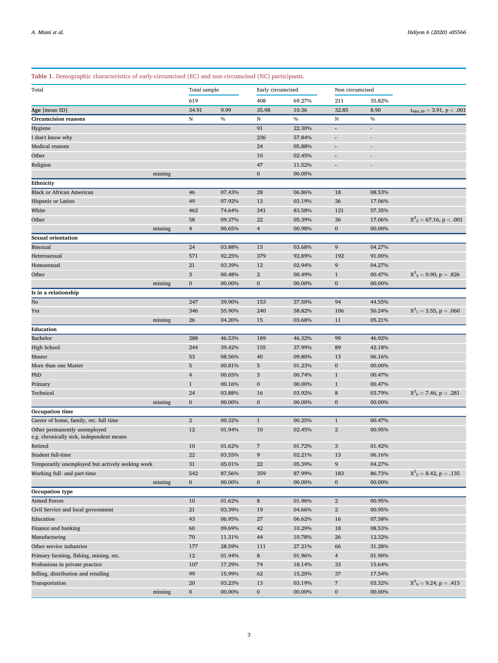# <span id="page-2-0"></span>Table 1. Demographic characteristics of early-circumcised (EC) and non-circumcised (NC) participants. Total Total sample Early circumcised Non circumcised 619 408 69.27% 211 35.82% Age [mean SD] 34.91 9.99 35.98 10.36 32.85 8.90 t<sub>484.39</sub> = 3.91, p < .001  $\sim N$  N % N % N % N % N % N % N % N % N % 9% N % 2012 Hygiene 91 22.30% - - I don't know why 236 57.84% - - Medical reasons 24 05.88% - - Other  $10$  02.45% -  $-$ Religion  $47$  and  $11.52\%$  . And the set of the set of the set of the set of the set of the set of the set of the set of the set of the set of the set of the set of the set of the set of the set of the set of the set of missing 0 00.00% Ethnicity Black or African American 18 08.53% 28 06.86% 18 08.53% Hispanic or Latino 49 07.92% 13 03.19% 36 17.06% White 462 74.64% 341 83.58% 121 57.35% Other 58 09.37% 22 05.39% 36 17.06%  $X^2$  $\rm X^2{}_{3}=67.16,\,p<.001$ missing 4 00.65% 4 00.98% 0 00.00% Sexual orientation Bisexual 24 03.88% 15 03.68% 9 04.27% Heterosexual 571 92.25% 379 92.89% 192 91.00% Homosexual 21 03.39% 12 02.94% 9 04.27% Other 3 00.48% 2 00.49% 1 00.47%  $X^2$  $X^2$ <sub>3</sub> = 0.90, p = .826 missing 0 00.00% 0 00.00% 0 00.00% Is in a relationship No 247 39.90% 153 37.50% 94 44.55% Yes 346 55.90% 240 58.82% 106 50.24%  $X^2$  $X^2_{1} = 3.55, p = .060$ missing 26 04.20% 15 03.68% 11 05.21% Education Bachelor 288 46.53% 189 46.32% 99 46.92% High School 244 39.42% 155 37.99% 89 42.18% Master 6 08.56% 13 06.16% 13 06.16% 13 06.16% 13 06.16% 13 06.16% 13 06.16% 13 06.16% 13 06.16% 13 06.16% 13 0 More than one Master 00.00% 0 00.00% 0 00.00% 0 00.00% 0 00.00% 0 00.00% 0 00.00% 0 00.00% 0 00.00% 0 00.00% 0 00.00% 0 00.00% 0 00.00% 0 00.00% 0 00.00% 0 00.00% 0 00.00% 0 00.00% 0 00.00% 0 00.00% 0 00.00% 0 00.00% 0 00. PhD  $4$  00.65% 3 00.74% 1 00.47% Primary 1 00.16% 0 00.00% 1 00.47% Technical 24 03.88% 16 03.92% 8 03.79%  $X^2$  $X^2$ <sub>6</sub> = 7.46, p = .281 missing 0 00.00% 0 00.00% 0 00.00% Occupation time Career of home, family, etc. full time 2 00.32% 1 00.25% 1 00.47% Other permanently unemployed e.g. chronically sick, independent means 12 01.94% 10 02.45% 2 00.95% Retired 10 01.62% 7 01.72% 3 01.42% Student full-time 22 03.55% 9 02.21% 13 06.16% Temporarily unemployed but actively seeking work 31 05.01% 22 05.39% 9 04.27% Working full- and part-time  $542$  87.56% 359 87.99% 183 86.73%  $X^2$ <sub>5</sub> = 8.42, p = .135 missing 0 00.00% 0 00.00% 0 00.00% Occupation type Armed Forces 2000,95% 8 01.62% 8 01.62% 2 00.95% 0.95% 0.95% 0.95% 0.95% 0.95% 0.95% 0.95% 0.95% 0.95% 0.95% 0 Civil Service and local government 21 03.39% 19 04.66% 2 00.95% Education 43 06.95% 27 06.62% 16 07.58% Finance and banking 60 09.69% 42 10.29% 18 08.53% Manufacturing 70 11.31% 44 10.78% 26 12.32% Other service industries 177 28.59% 111 27.21% 66 31.28% Primary farming, fishing, mining, etc. 12 01.94% 8 01.96% 4 01.90% Professions in private practice  $107$  17.29% 74 18.14% 33 15.64% Selling, distribution and retailing 99 15.99% 62 15.20% 37 17.54%  $\begin{array}{cccccccccccccc} \text{Transportation} & & & & \text{20} & & 03.23\% & & 13 & & 03.19\% & & 7 & & 03.32\% & & X^2 \end{array}$  $X^2$ <sub>9</sub> = 9.24, p = .415 missing 0 00.00% 0 00.00% 0 00.00%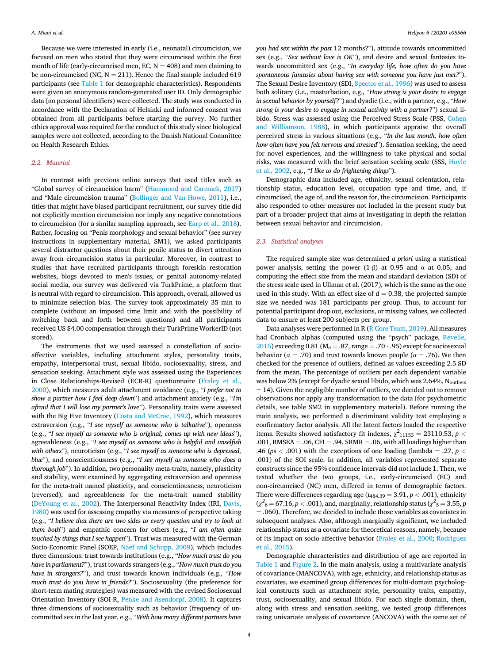Because we were interested in early (i.e., neonatal) circumcision, we focused on men who stated that they were circumcised within the first month of life (early-circumcised men, EC,  $N = 408$ ) and men claiming to be non-circumcised (NC,  $N = 211$ ). Hence the final sample included 619 participants (see [Table 1](#page-2-0) for demographic characteristics). Respondents were given an anonymous random-generated user ID. Only demographic data (no personal identifiers) were collected. The study was conducted in accordance with the Declaration of Helsinki and informed consent was obtained from all participants before starting the survey. No further ethics approval was required for the conduct of this study since biological samples were not collected, according to the Danish National Committee on Health Research Ethics.

#### 2.2. Material

In contrast with previous online surveys that used titles such as "Global survey of circumcision harm" [\(Hammond and Carmack, 2017\)](#page-8-32) and "Male circumcision trauma" [\(Bollinger and Van Howe, 2011\)](#page-7-1), i.e., titles that might have biased participant recruitment, our survey title did not explicitly mention circumcision nor imply any negative connotations to circumcision (for a similar sampling approach, see [Earp et al., 2018\)](#page-8-36). Rather, focusing on "Penis morphology and sexual behavior" (see survey instructions in supplementary material, SM1), we asked participants several distractor questions about their penile status to divert attention away from circumcision status in particular. Moreover, in contrast to studies that have recruited participants through foreskin restoration websites, blogs devoted to men's issues, or genital autonomy-related social media, our survey was delivered via TurkPrime, a platform that is neutral with regard to circumcision. This approach, overall, allowed us to minimize selection bias. The survey took approximately 35 min to complete (without an imposed time limit and with the possibility of switching back and forth between questions) and all participants received US \$4.00 compensation through their TurkPrime WorkerID (not stored).

The instruments that we used assessed a constellation of socioaffective variables, including attachment styles, personality traits, empathy, interpersonal trust, sexual libido, sociosexuality, stress, and sensation seeking. Attachment style was assessed using the Experiences in Close Relationships-Revised (ECR-R) questionnaire ([Fraley et al.,](#page-8-37) [2000\)](#page-8-37), which measures adult attachment avoidance (e.g., "I prefer not to show a partner how I feel deep down") and attachment anxiety (e.g., "I'm afraid that I will lose my partner's love"). Personality traits were assessed with the Big Five Inventory [\(Costa and McCrae, 1992](#page-8-38)), which measures extraversion (e.g., "I see myself as someone who is talkative"), openness (e.g., "I see myself as someone who is original, comes up with new ideas"), agreeableness (e.g., "I see myself as someone who is helpful and unselfish with others"), neuroticism (e.g., "I see myself as someone who is depressed, blue"), and conscientiousness (e.g., "I see myself as someone who does a thorough job"). In addition, two personality meta-traits, namely, plasticity and stability, were examined by aggregating extraversion and openness for the meta-trait named plasticity, and conscientiousness, neuroticism (reversed), and agreeableness for the meta-trait named stability ([DeYoung et al., 2002\)](#page-8-25). The Interpersonal Reactivity Index (IRI, [Davis,](#page-8-39) [1980\)](#page-8-39) was used for assessing empathy via measures of perspective taking (e.g., "I believe that there are two sides to every question and try to look at them both") and empathic concern for others (e.g., "I am often quite touched by things that I see happen"). Trust was measured with the German Socio-Economic Panel (SOEP, [Naef and Schupp, 2009\)](#page-9-25), which includes three dimensions: trust towards institutions (e.g., "How much trust do you have in parliament?"), trust towards strangers (e.g., "How much trust do you have in strangers?"), and trust towards known individuals (e.g., "How much trust do you have in friends?"). Sociosexuality (the preference for short-term mating strategies) was measured with the revised Sociosexual Orientation Inventory (SOI-R, [Penke and Asendorpf, 2008](#page-9-26)). It captures three dimensions of sociosexuality such as behavior (frequency of uncommitted sex in the last year, e.g., "With how many different partners have

you had sex within the past 12 months?"), attitude towards uncommitted sex (e.g., "Sex without love is OK"), and desire and sexual fantasies towards uncommitted sex (e.g., "In everyday life, how often do you have spontaneous fantasies about having sex with someone you have just met?"). The Sexual Desire Inventory (SDI, [Spector et al., 1996\)](#page-9-27) was used to assess both solitary (i.e., masturbation, e.g., "How strong is your desire to engage in sexual behavior by yourself?") and dyadic (i.e., with a partner, e.g., "How strong is your desire to engage in sexual activity with a partner?") sexual libido. Stress was assessed using the Perceived Stress Scale (PSS, [Cohen](#page-8-40) [and Williamson, 1988\)](#page-8-40), in which participants appraise the overall perceived stress in various situations (e.g., "In the last month, how often how often have you felt nervous and stressed"). Sensation seeking, the need for novel experiences, and the willingness to take physical and social risks, was measured with the brief sensation seeking scale (SSS, [Hoyle](#page-8-41) [et al., 2002](#page-8-41), e.g., "I like to do frightening things").

Demographic data included age, ethnicity, sexual orientation, relationship status, education level, occupation type and time, and, if circumcised, the age of, and the reason for, the circumcision. Participants also responded to other measures not included in the present study but part of a broader project that aims at investigating in depth the relation between sexual behavior and circumcision.

## 2.3. Statistical analyses

The required sample size was determined a priori using a statistical power analysis, setting the power (1-β) at 0.95 and  $\alpha$  at 0.05, and computing the effect size from the mean and standard deviation (SD) of the stress scale used in Ullman et al. (2017), which is the same as the one used in this study. With an effect size of  $d = 0.38$ , the projected sample size we needed was 181 participants per group. Thus, to account for potential participant drop out, exclusions, or missing values, we collected data to ensure at least 200 subjects per group.

Data analyses were performed in R ([R Core Team, 2019](#page-9-28)). All measures had Cronbach alphas (computed using the "psych" package, [Revelle,](#page-9-29) [2015\)](#page-9-29) exceeding 0.81 ( $M_\alpha$  = .87, range = .70 - .95) except for sociosexual behavior ( $\alpha = .70$ ) and trust towards known people ( $\alpha = .76$ ). We then checked for the presence of outliers, defined as values exceeding 2.5 SD from the mean. The percentage of outliers per each dependent variable was below 2% (except for dyadic sexual libido, which was 2.64%, Noutliers  $=$  14). Given the negligible number of outliers, we decided not to remove observations nor apply any transformation to the data (for psychometric details, see table SM2 in supplementary material). Before running the main analysis, we performed a discriminant validity test employing a confirmatory factor analysis. All the latent factors loaded the respective items. Results showed satisfactory fit indexes,  $\chi^2_{11153} = 23110.53$ ,  $p <$ .001, RMSEA = .06, CFI = .94, SRMR = .06, with all loadings higher than .46 (ps < .001) with the exceptions of one loading (lambda = .27,  $p$  < .001) of the SOI scale. In addition, all variables represented separate constructs since the 95% confidence intervals did not include 1. Then, we tested whether the two groups, i.e., early-circumcised (EC) and non-circumcised (NC) men, differed in terms of demographic factors. There were differences regarding age ( $t_{484.39} = 3.91, p < .001$ ), ethnicity  $(\chi^2$ <sub>6</sub> = 67.16, *p* < .001), and, marginally, relationship status ( $\chi^2$ <sub>5</sub> = 3.55, *p*  $=$  .060). Therefore, we decided to include those variables as covariates in subsequent analyses. Also, although marginally significant, we included relationship status as a covariate for theoretical reasons, namely, because of its impact on socio-affective behavior [\(Fraley et al., 2000](#page-8-37); [Rodriguez](#page-9-30) [et al., 2015](#page-9-30)).

Demographic characteristics and distribution of age are reported in [Table 1](#page-2-0) and [Figure 2](#page-6-0). In the main analysis, using a multivariate analysis of covariance (MANCOVA), with age, ethnicity, and relationship status as covariates, we examined group differences for multi-domain psychological constructs such as attachment style, personality traits, empathy, trust, sociosexuality, and sexual libido. For each single domain, then, along with stress and sensation seeking, we tested group differences using univariate analysis of covariance (ANCOVA) with the same set of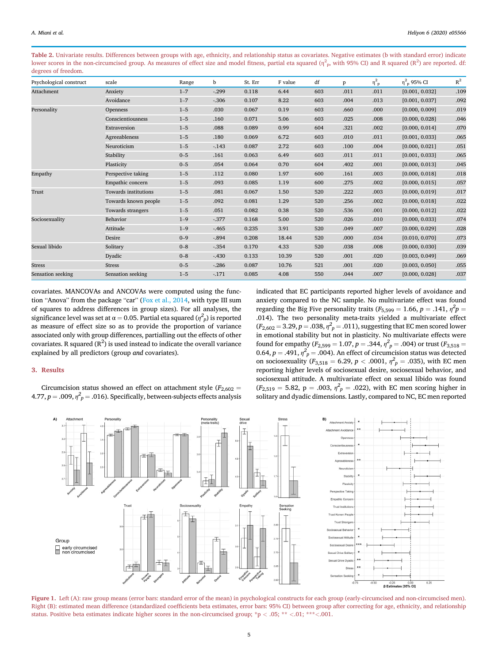<span id="page-4-0"></span>Table 2. Univariate results. Differences between groups with age, ethnicity, and relationship status as covariates. Negative estimates (b with standard error) indicate lower scores in the non-circumcised group. As measures of effect size and model fitness, partial eta squared  $(\eta^2_{p}$ , with 95% CI) and R squared  $(R^2)$  are reported. df: degrees of freedom.

| Psychological construct | scale                | Range   | b        | St. Err | F value | df  | p    | $\eta_{\ \rm p}^2$ | $η2p$ 95% CI   | $R^2$ |
|-------------------------|----------------------|---------|----------|---------|---------|-----|------|--------------------|----------------|-------|
| Attachment              | Anxiety              | $1 - 7$ | $-299$   | 0.118   | 6.44    | 603 | .011 | .011               | [0.001, 0.032] | .109  |
|                         | Avoidance            | $1 - 7$ | $-.306$  | 0.107   | 8.22    | 603 | .004 | .013               | [0.001, 0.037] | .092  |
| Personality             | Openness             | $1 - 5$ | .030     | 0.067   | 0.19    | 603 | .660 | .000               | [0.000, 0.009] | .019  |
|                         | Conscientiousness    | $1 - 5$ | .160     | 0.071   | 5.06    | 603 | .025 | .008               | [0.000, 0.028] | .046  |
|                         | Extraversion         | $1 - 5$ | .088     | 0.089   | 0.99    | 604 | .321 | .002               | [0.000, 0.014] | .070  |
|                         | Agreeableness        | $1 - 5$ | .180     | 0.069   | 6.72    | 603 | .010 | .011               | [0.001, 0.033] | .065  |
|                         | Neuroticism          | $1 - 5$ | $-143$   | 0.087   | 2.72    | 603 | .100 | .004               | [0.000, 0.021] | .051  |
|                         | Stability            | $0 - 5$ | .161     | 0.063   | 6.49    | 603 | .011 | .011               | [0.001, 0.033] | .065  |
|                         | Plasticity           | $0 - 5$ | .054     | 0.064   | 0.70    | 604 | .402 | .001               | [0.000, 0.013] | .045  |
| Empathy                 | Perspective taking   | $1 - 5$ | .112     | 0.080   | 1.97    | 600 | .161 | .003               | [0.000, 0.018] | .018  |
|                         | Empathic concern     | $1 - 5$ | .093     | 0.085   | 1.19    | 600 | .275 | .002               | [0.000, 0.015] | .057  |
| Trust                   | Towards institutions | $1 - 5$ | .081     | 0.067   | 1.50    | 520 | .222 | .003               | [0.000, 0.019] | .017  |
|                         | Towards known people | $1 - 5$ | .092     | 0.081   | 1.29    | 520 | .256 | .002               | [0.000, 0.018] | .022  |
|                         | Towards strangers    | $1 - 5$ | .051     | 0.082   | 0.38    | 520 | .536 | .001               | [0.000, 0.012] | .022  |
| Sociosexuality          | Behavior             | $1 - 9$ | $-0.377$ | 0.168   | 5.00    | 520 | .026 | .010               | [0.000, 0.033] | .074  |
|                         | Attitude             | $1 - 9$ | $-465$   | 0.235   | 3.91    | 520 | .049 | .007               | [0.000, 0.029] | .028  |
|                         | Desire               | $0 - 9$ | $-0.894$ | 0.208   | 18.44   | 520 | .000 | .034               | [0.010, 0.070] | .073  |
| Sexual libido           | Solitary             | $0 - 8$ | $-0.354$ | 0.170   | 4.33    | 520 | .038 | .008               | [0.000, 0.030] | .039  |
|                         | Dyadic               | $0 - 8$ | $-430$   | 0.133   | 10.39   | 520 | .001 | .020               | [0.003, 0.049] | .069  |
| <b>Stress</b>           | <b>Stress</b>        | $0 - 5$ | $-286$   | 0.087   | 10.76   | 521 | .001 | .020               | [0.003, 0.050] | .055  |
| Sensation seeking       | Sensation seeking    | $1 - 5$ | $-171$   | 0.085   | 4.08    | 550 | .044 | .007               | [0.000, 0.028] | .037  |

covariates. MANCOVAs and ANCOVAs were computed using the function "Anova" from the package "car" ([Fox et al., 2014,](#page-8-42) with type III sum of squares to address differences in group sizes). For all analyses, the significance level was set at  $\alpha$  = 0.05. Partial eta squared ( $\eta^{2}{}_{p}$ ) is reported as measure of effect size so as to provide the proportion of variance associated only with group differences, partialling out the effects of other covariates. R squared (R $^2$ ) is used instead to indicate the overall variance explained by all predictors (group and covariates).

# indicated that EC participants reported higher levels of avoidance and anxiety compared to the NC sample. No multivariate effect was found regarding the Big Five personality traits ( $F_{5,599} = 1.66$ ,  $p = .141$ ,  $\eta^2 p =$ .014). The two personality meta-traits yielded a multivariate effect  $(F_{2,602} = 3.29, p = .038, \eta^2_p = .011)$ , suggesting that EC men scored lower in emotional stability but not in plasticity. No multivariate effects were found for empathy ( $F_{2,599} = 1.07$ ,  $p = .344$ ,  $\eta^2 p = .004$ ) or trust ( $F_{3,518} =$ 0.64,  $p = .491$ ,  $\eta_p^2 = .004$ ). An effect of circumcision status was detected on sociosexuality ( $F_{3,518} = 6.29$ ,  $p < .0001$ ,  $\eta_p^2 = .035$ ), with EC men reporting higher levels of sociosexual desire, sociosexual behavior, and sociosexual attitude. A multivariate effect on sexual libido was found  $(F_{2,519} = 5.82, p = .003, \eta^2_{p} = .022$ , with EC men scoring higher in solitary and dyadic dimensions. Lastly, compared to NC, EC men reported

# 3. Results

<span id="page-4-1"></span>Circumcision status showed an effect on attachment style  $(F_{2,602} =$ 4.77,  $p = .009$ ,  $\eta^2_{\ p} = .016$ ). Specifically, between-subjects effects analysis



Figure 1. Left (A): raw group means (error bars: standard error of the mean) in psychological constructs for each group (early-circumcised and non-circumcised men). Right (B): estimated mean difference (standardized coefficients beta estimates, error bars: 95% CI) between group after correcting for age, ethnicity, and relationship status. Positive beta estimates indicate higher scores in the non-circumcised group; \*p < .05; \*\* <.01; \*\*\*<.001.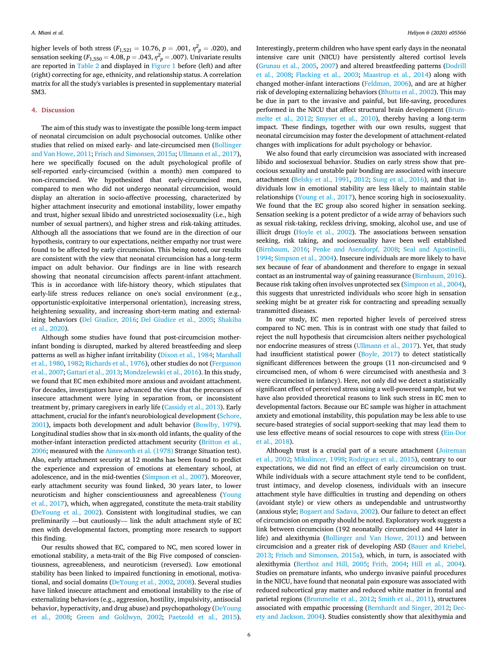higher levels of both stress ( $F_{1,521} = 10.76, p = .001, \eta^2_{\,\,p} = .020$ ), and sensation seeking ( $F_{1,550}$  = 4.08,  $p = .043$ ,  $\eta^2_{\phantom{2}p}$  = .007). Univariate results are reported in [Table 2](#page-4-0) and displayed in [Figure 1](#page-4-1) before (left) and after (right) correcting for age, ethnicity, and relationship status. A correlation matrix for all the study's variables is presented in supplementary material SM3.

# 4. Discussion

The aim of this study was to investigate the possible long-term impact of neonatal circumcision on adult psychosocial outcomes. Unlike other studies that relied on mixed early- and late-circumcised men ([Bollinger](#page-7-1) [and Van Howe, 2011;](#page-7-1) [Frisch and Simonsen, 2015a;](#page-8-10) [Ullmann et al., 2017\)](#page-9-11), here we specifically focused on the adult psychological profile of self-reported early-circumcised (within a month) men compared to non-circumcised. We hypothesized that early-circumcised men, compared to men who did not undergo neonatal circumcision, would display an alteration in socio-affective processing, characterized by higher attachment insecurity and emotional instability, lower empathy and trust, higher sexual libido and unrestricted sociosexuality (i.e., high number of sexual partners), and higher stress and risk-taking attitudes. Although all the associations that we found are in the direction of our hypothesis, contrary to our expectations, neither empathy nor trust were found to be affected by early circumcision. This being noted, our results are consistent with the view that neonatal circumcision has a long-term impact on adult behavior. Our findings are in line with research showing that neonatal circumcision affects parent-infant attachment. This is in accordance with life-history theory, which stipulates that early-life stress reduces reliance on one's social environment (e.g., opportunistic-exploitative interpersonal orientation), increasing stress, heightening sexuality, and increasing short-term mating and externalizing behaviors [\(Del Giudice, 2016](#page-8-23); [Del Giudice et al., 2005;](#page-8-24) [Shakiba](#page-9-22) [et al., 2020](#page-9-22)).

Although some studies have found that post-circumcision motherinfant bonding is disrupted, marked by altered breastfeeding and sleep patterns as well as higher infant irritability ([Dixon et al., 1984](#page-8-3); [Marshall](#page-8-8) [et al., 1980](#page-8-8), [1982](#page-8-9); [Richards et al., 1976](#page-9-20)), other studies do not ([Fergusson](#page-8-4) [et al., 2007;](#page-8-4) [Gattari et al., 2013](#page-8-5); [Mondzelewski et al., 2016\)](#page-9-3). In this study, we found that EC men exhibited more anxious and avoidant attachment. For decades, investigators have advanced the view that the precursors of insecure attachment were lying in separation from, or inconsistent treatment by, primary caregivers in early life ([Cassidy et al., 2013\)](#page-8-43). Early attachment, crucial for the infant's neurobiological development ([Schore,](#page-9-31) [2001\)](#page-9-31), impacts both development and adult behavior [\(Bowlby, 1979\)](#page-8-44). Longitudinal studies show that in six-month old infants, the quality of the mother-infant interaction predicted attachment security [\(Britton et al.,](#page-8-45) [2006;](#page-8-45) measured with the [Ainsworth et al. \(1978\)](#page-7-11) Strange Situation test). Also, early attachment security at 12 months has been found to predict the experience and expression of emotions at elementary school, at adolescence, and in the mid-twenties [\(Simpson et al., 2007](#page-9-32)). Moreover, early attachment security was found linked, 30 years later, to lower neuroticism and higher conscientiousness and agreeableness [\(Young](#page-9-23) [et al., 2017](#page-9-23)), which, when aggregated, constitute the meta-trait stability ([DeYoung et al., 2002](#page-8-25)). Consistent with longitudinal studies, we can preliminarily —but cautiously— link the adult attachment style of EC men with developmental factors, prompting more research to support this finding.

Our results showed that EC, compared to NC, men scored lower in emotional stability, a meta-trait of the Big Five composed of conscientiousness, agreeableness, and neuroticism (reversed). Low emotional stability has been linked to impaired functioning in emotional, motivational, and social domains ([DeYoung et al., 2002](#page-8-25), [2008](#page-8-46)). Several studies have linked insecure attachment and emotional instability to the rise of externalizing behaviors (e.g., aggression, hostility, impulsivity, antisocial behavior, hyperactivity, and drug abuse) and psychopathology ([DeYoung](#page-8-46) [et al., 2008;](#page-8-46) [Green and Goldwyn, 2002;](#page-8-47) [Paetzold et al., 2015\)](#page-9-33).

Interestingly, preterm children who have spent early days in the neonatal intensive care unit (NICU) have persistently altered cortisol levels ([Grunau et al., 2005,](#page-8-48) [2007](#page-8-49)) and altered breastfeeding patterns [\(Dodrill](#page-8-50) [et al., 2008;](#page-8-50) [Flacking et al., 2003](#page-8-51); [Maastrup et al., 2014\)](#page-8-52) along with changed mother-infant interactions [\(Feldman, 2006\)](#page-8-53), and are at higher risk of developing externalizing behaviors ([Bhutta et al., 2002](#page-7-12)). This may be due in part to the invasive and painful, but life-saving, procedures performed in the NICU that affect structural brain development [\(Brum](#page-8-54)[melte et al., 2012](#page-8-54); [Smyser et al., 2010](#page-9-34)), thereby having a long-term impact. These findings, together with our own results, suggest that neonatal circumcision may foster the development of attachment-related changes with implications for adult psychology or behavior.

We also found that early circumcision was associated with increased libido and sociosexual behavior. Studies on early stress show that precocious sexuality and unstable pair bonding are associated with insecure attachment ([Belsky et al., 1991](#page-7-13), [2012](#page-7-14); [Sung et al., 2016\)](#page-9-35), and that individuals low in emotional stability are less likely to maintain stable relationships ([Young et al., 2017](#page-9-23)), hence scoring high in sociosexuality. We found that the EC group also scored higher in sensation seeking. Sensation seeking is a potent predictor of a wide array of behaviors such as sexual risk-taking, reckless driving, smoking, alcohol use, and use of illicit drugs [\(Hoyle et al., 2002](#page-8-41)). The associations between sensation seeking, risk taking, and sociosexuality have been well established ([Birnbaum, 2016](#page-7-15); [Penke and Asendorpf, 2008](#page-9-26); [Seal and Agostinelli,](#page-9-36) [1994;](#page-9-36) [Simpson et al., 2004](#page-9-37)). Insecure individuals are more likely to have sex because of fear of abandonment and therefore to engage in sexual contact as an instrumental way of gaining reassurance ([Birnbaum, 2016\)](#page-7-15). Because risk taking often involves unprotected sex [\(Simpson et al., 2004\)](#page-9-37), this suggests that unrestricted individuals who score high in sensation seeking might be at greater risk for contracting and spreading sexually transmitted diseases.

In our study, EC men reported higher levels of perceived stress compared to NC men. This is in contrast with one study that failed to reject the null hypothesis that circumcision alters neither psychological nor endocrine measures of stress ([Ullmann et al., 2017\)](#page-9-11). Yet, that study had insufficient statistical power [\(Boyle, 2017](#page-8-11)) to detect statistically significant differences between the groups (11 non-circumcised and 9 circumcised men, of whom 6 were circumcised with anesthesia and 3 were circumcised in infancy). Here, not only did we detect a statistically significant effect of perceived stress using a well-powered sample, but we have also provided theoretical reasons to link such stress in EC men to developmental factors. Because our EC sample was higher in attachment anxiety and emotional instability, this population may be less able to use secure-based strategies of social support-seeking that may lead them to use less effective means of social resources to cope with stress ([Ein-Dor](#page-8-55) [et al., 2018](#page-8-55)).

Although trust is a crucial part of a secure attachment [\(Joireman](#page-8-56) [et al., 2002](#page-8-56); [Mikulincer, 1998;](#page-8-57) [Rodriguez et al., 2015](#page-9-30)), contrary to our expectations, we did not find an effect of early circumcision on trust. While individuals with a secure attachment style tend to be confident, trust intimacy, and develop closeness, individuals with an insecure attachment style have difficulties in trusting and depending on others (avoidant style) or view others as undependable and untrustworthy (anxious style; [Bogaert and Sadava, 2002\)](#page-7-16). Our failure to detect an effect of circumcision on empathy should be noted. Exploratory work suggests a link between circumcision (192 neonatally circumcised and 44 later in life) and alexithymia ([Bollinger and Van Howe, 2011](#page-7-1)) and between circumcision and a greater risk of developing ASD ([Bauer and Kriebel,](#page-7-0) [2013;](#page-7-0) [Frisch and Simonsen, 2015a](#page-8-10)), which, in turn, is associated with alexithymia ([Berthoz and Hill, 2005](#page-7-17); [Frith, 2004](#page-8-58); [Hill et al., 2004\)](#page-8-59). Studies on premature infants, who undergo invasive painful procedures in the NICU, have found that neonatal pain exposure was associated with reduced subcortical gray matter and reduced white matter in frontal and parietal regions ([Brummelte et al., 2012;](#page-8-54) [Smith et al., 2011\)](#page-9-38), structures associated with empathic processing ([Bernhardt and Singer, 2012;](#page-7-18) [Dec](#page-8-60)[ety and Jackson, 2004](#page-8-60)). Studies consistently show that alexithymia and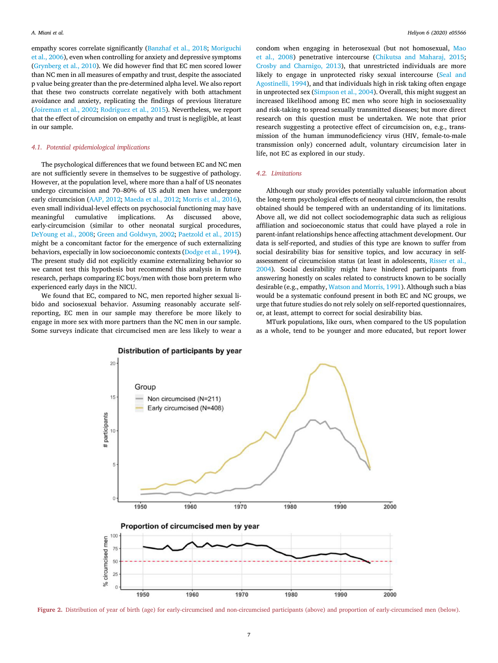empathy scores correlate significantly ([Banzhaf et al., 2018;](#page-7-19) [Moriguchi](#page-9-39) [et al., 2006](#page-9-39)), even when controlling for anxiety and depressive symptoms ([Grynberg et al., 2010](#page-8-61)). We did however find that EC men scored lower than NC men in all measures of empathy and trust, despite the associated p value being greater than the pre-determined alpha level. We also report that these two constructs correlate negatively with both attachment avoidance and anxiety, replicating the findings of previous literature ([Joireman et al., 2002;](#page-8-56) [Rodriguez et al., 2015](#page-9-30)). Nevertheless, we report that the effect of circumcision on empathy and trust is negligible, at least in our sample.

## 4.1. Potential epidemiological implications

The psychological differences that we found between EC and NC men are not sufficiently severe in themselves to be suggestive of pathology. However, at the population level, where more than a half of US neonates undergo circumcision and 70–80% of US adult men have undergone early circumcision ([AAP, 2012](#page-7-9); [Maeda et al., 2012](#page-8-0); [Morris et al., 2016\)](#page-9-40), even small individual-level effects on psychosocial functioning may have meaningful cumulative implications. As discussed above, early-circumcision (similar to other neonatal surgical procedures, [DeYoung et al., 2008;](#page-8-46) [Green and Goldwyn, 2002;](#page-8-47) [Paetzold et al., 2015\)](#page-9-33) might be a concomitant factor for the emergence of such externalizing behaviors, especially in low socioeconomic contexts ([Dodge et al., 1994\)](#page-8-62). The present study did not explicitly examine externalizing behavior so we cannot test this hypothesis but recommend this analysis in future research, perhaps comparing EC boys/men with those born preterm who experienced early days in the NICU.

<span id="page-6-0"></span>We found that EC, compared to NC, men reported higher sexual libido and sociosexual behavior. Assuming reasonably accurate selfreporting, EC men in our sample may therefore be more likely to engage in more sex with more partners than the NC men in our sample. Some surveys indicate that circumcised men are less likely to wear a condom when engaging in heterosexual (but not homosexual, [Mao](#page-8-63) [et al., 2008\)](#page-8-63) penetrative intercourse [\(Chikutsa and Maharaj, 2015;](#page-8-64) [Crosby and Charnigo, 2013](#page-8-65)), that unrestricted individuals are more likely to engage in unprotected risky sexual intercourse ([Seal and](#page-9-36) [Agostinelli, 1994\)](#page-9-36), and that individuals high in risk taking often engage in unprotected sex ([Simpson et al., 2004\)](#page-9-37). Overall, this might suggest an increased likelihood among EC men who score high in sociosexuality and risk-taking to spread sexually transmitted diseases; but more direct research on this question must be undertaken. We note that prior research suggesting a protective effect of circumcision on, e.g., transmission of the human immunodeficiency virus (HIV, female-to-male transmission only) concerned adult, voluntary circumcision later in life, not EC as explored in our study.

#### 4.2. Limitations

Although our study provides potentially valuable information about the long-term psychological effects of neonatal circumcision, the results obtained should be tempered with an understanding of its limitations. Above all, we did not collect sociodemographic data such as religious affiliation and socioeconomic status that could have played a role in parent-infant relationships hence affecting attachment development. Our data is self-reported, and studies of this type are known to suffer from social desirability bias for sensitive topics, and low accuracy in selfassessment of circumcision status (at least in adolescents, [Risser et al.,](#page-9-41) [2004\)](#page-9-41). Social desirability might have hindered participants from answering honestly on scales related to constructs known to be socially desirable (e.g., empathy, [Watson and Morris, 1991\)](#page-9-42). Although such a bias would be a systematic confound present in both EC and NC groups, we urge that future studies do not rely solely on self-reported questionnaires, or, at least, attempt to correct for social desirability bias.

MTurk populations, like ours, when compared to the US population as a whole, tend to be younger and more educated, but report lower



Figure 2. Distribution of year of birth (age) for early-circumcised and non-circumcised participants (above) and proportion of early-circumcised men (below).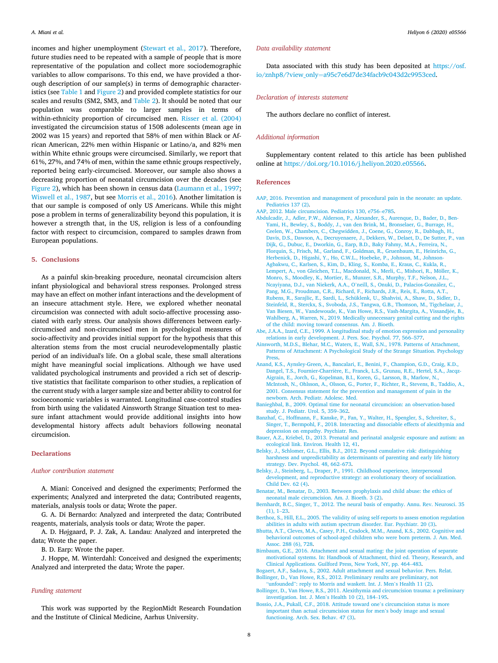incomes and higher unemployment [\(Stewart et al., 2017\)](#page-9-24). Therefore, future studies need to be repeated with a sample of people that is more representative of the population and collect more sociodemographic variables to allow comparisons. To this end, we have provided a thorough description of our sample(s) in terms of demographic characteristics (see [Table 1](#page-2-0) and [Figure 2](#page-6-0)) and provided complete statistics for our scales and results (SM2, SM3, and [Table 2](#page-4-0)). It should be noted that our population was comparable to larger samples in terms of within-ethnicity proportion of circumcised men. [Risser et al. \(2004\)](#page-9-41) investigated the circumcision status of 1508 adolescents (mean age in 2002 was 15 years) and reported that 58% of men within Black or African American, 22% men within Hispanic or Latino/a, and 82% men within White ethnic groups were circumcised. Similarly, we report that 61%, 27%, and 74% of men, within the same ethnic groups respectively, reported being early-circumcised. Moreover, our sample also shows a decreasing proportion of neonatal circumcision over the decades (see [Figure 2\)](#page-6-0), which has been shown in census data ([Laumann et al., 1997;](#page-8-66) [Wiswell et al., 1987,](#page-9-43) but see [Morris et al., 2016](#page-9-40)). Another limitation is that our sample is composed of only US Americans. While this might pose a problem in terms of generalizability beyond this population, it is however a strength that, in the US, religion is less of a confounding factor with respect to circumcision, compared to samples drawn from European populations.

#### 5. Conclusions

As a painful skin-breaking procedure, neonatal circumcision alters infant physiological and behavioral stress responses. Prolonged stress may have an effect on mother infant interactions and the development of an insecure attachment style. Here, we explored whether neonatal circumcision was connected with adult socio-affective processing associated with early stress. Our analysis shows differences between earlycircumcised and non-circumcised men in psychological measures of socio-affectivity and provides initial support for the hypothesis that this alteration stems from the most crucial neurodevelopmentally plastic period of an individual's life. On a global scale, these small alterations might have meaningful social implications. Although we have used validated psychological instruments and provided a rich set of descriptive statistics that facilitate comparison to other studies, a replication of the current study with a larger sample size and better ability to control for socioeconomic variables is warranted. Longitudinal case-control studies from birth using the validated Ainsworth Strange Situation test to measure infant attachment would provide additional insights into how developmental history affects adult behaviors following neonatal circumcision.

#### Declarations

#### Author contribution statement

A. Miani: Conceived and designed the experiments; Performed the experiments; Analyzed and interpreted the data; Contributed reagents, materials, analysis tools or data; Wrote the paper.

G. A. Di Bernardo: Analyzed and interpreted the data; Contributed reagents, materials, analysis tools or data; Wrote the paper.

A. D. Højgaard, P. J. Zak, A. Landau: Analyzed and interpreted the data; Wrote the paper.

B. D. Earp: Wrote the paper.

J. Hoppe, M. Winterdahl: Conceived and designed the experiments; Analyzed and interpreted the data; Wrote the paper.

#### Funding statement

This work was supported by the RegionMidt Research Foundation and the Institute of Clinical Medicine, Aarhus University.

Data availability statement

Data associated with this study has been deposited at [https://osf.](https://osf.io/znhp8/?view_only=a95c7e6d7de34facb9c043d2c9953ced) [io/znhp8/?view\\_only](https://osf.io/znhp8/?view_only=a95c7e6d7de34facb9c043d2c9953ced)=[a95c7e6d7de34facb9c043d2c9953ced](https://osf.io/znhp8/?view_only=a95c7e6d7de34facb9c043d2c9953ced).

#### Declaration of interests statement

The authors declare no conflict of interest.

#### Additional information

Supplementary content related to this article has been published online at [https://doi.org/10.1016/j.heliyon.2020.e05566.](https://doi.org/10.1016/j.heliyon.2020.e05566)

#### <span id="page-7-3"></span>References

- <span id="page-7-9"></span>[AAP, 2016. Prevention and management of procedural pain in the neonate: an update.](http://refhub.elsevier.com/S2405-8440(20)32409-9/sref1) [Pediatrics 137 \(2\)](http://refhub.elsevier.com/S2405-8440(20)32409-9/sref1).
- <span id="page-7-7"></span>[AAP, 2012. Male circumcision. Pediatrics 130, e756](http://refhub.elsevier.com/S2405-8440(20)32409-9/sref2)–[e785](http://refhub.elsevier.com/S2405-8440(20)32409-9/sref2).
- [Abdulcadir, J., Adler, P.W., Alderson, P., Alexander, S., Aurenque, D., Bader, D., Ben-](http://refhub.elsevier.com/S2405-8440(20)32409-9/sref3)[Yami, H., Bewley, S., Boddy, J., van den Brink, M., Bronselaer, G., Burrage, H.,](http://refhub.elsevier.com/S2405-8440(20)32409-9/sref3) [Ceelen, W., Chambers, C., Chegwidden, J., Coene, G., Conroy, R., Dabbagh, H.,](http://refhub.elsevier.com/S2405-8440(20)32409-9/sref3) [Davis, D.S., Dawson, A., Decruyenaere, J., Dekkers, W., Delaet, D., De Sutter, P., van](http://refhub.elsevier.com/S2405-8440(20)32409-9/sref3) [Dijk, G., Dubuc, E., Dworkin, G., Earp, B.D., Baky Fahmy, M.A., Ferreira, N.,](http://refhub.elsevier.com/S2405-8440(20)32409-9/sref3) [Florquin, S., Frisch, M., Garland, F., Goldman, R., Gruenbaum, E., Heinrichs, G.,](http://refhub.elsevier.com/S2405-8440(20)32409-9/sref3) [Herbenick, D., Higashi, Y., Ho, C.W.L., Hoebeke, P., Johnson, M., Johnson-](http://refhub.elsevier.com/S2405-8440(20)32409-9/sref3)[Agbakwu, C., Karlsen, S., Kim, D., Kling, S., Komba, E., Kraus, C., Kukla, R.,](http://refhub.elsevier.com/S2405-8440(20)32409-9/sref3) Lempert, A., von Gleichen, T.L., Macdonald, N., Merli, C., Mishori, R., Möller, K., [Monro, S., Moodley, K., Mortier, E., Munzer, S.R., Murphy, T.F., Nelson, J.L.,](http://refhub.elsevier.com/S2405-8440(20)32409-9/sref3) [Ncayiyana, D.J., van Niekerk, A.A., O](http://refhub.elsevier.com/S2405-8440(20)32409-9/sref3)'neill, S., Onuki, D., Palacios-Gonz-[alez, C.,](http://refhub.elsevier.com/S2405-8440(20)32409-9/sref3) [Pang, M.G., Proudman, C.R., Richard, F., Richards, J.R., Reis, E., Rotta, A.T.,](http://refhub.elsevier.com/S2405-8440(20)32409-9/sref3) [Rubens, R., Sarajlic, E., Sardi, L., Schüklenk, U., Shahvisi, A., Shaw, D., Sidler, D.,](http://refhub.elsevier.com/S2405-8440(20)32409-9/sref3) [Steinfeld, R., Sterckx, S., Svoboda, J.S., Tangwa, G.B., Thomson, M., Tigchelaar, J.,](http://refhub.elsevier.com/S2405-8440(20)32409-9/sref3) [Van Biesen, W., Vandewoude, K., Van Howe, R.S., Vash-Margita, A., Vissandj](http://refhub.elsevier.com/S2405-8440(20)32409-9/sref3)é[e, B.,](http://refhub.elsevier.com/S2405-8440(20)32409-9/sref3) [Wahlberg, A., Warren, N., 2019. Medically unnecessary genital cutting and the rights](http://refhub.elsevier.com/S2405-8440(20)32409-9/sref3) [of the child: moving toward consensus. Am. J. Bioeth.](http://refhub.elsevier.com/S2405-8440(20)32409-9/sref3)
- <span id="page-7-11"></span><span id="page-7-6"></span>[Abe, J.A.A., Izard, C.E., 1999. A longitudinal study of emotion expression and personality](http://refhub.elsevier.com/S2405-8440(20)32409-9/sref4) [relations in early development. J. Pers. Soc. Psychol. 77, 566](http://refhub.elsevier.com/S2405-8440(20)32409-9/sref4)–[577.](http://refhub.elsevier.com/S2405-8440(20)32409-9/sref4)
- <span id="page-7-4"></span>[Ainsworth, M.D.S., Blehar, M.C., Waters, E., Wall, S.N., 1978. Patterns of Attachment,](http://refhub.elsevier.com/S2405-8440(20)32409-9/sref5) [Patterns of Attachment: A Psychological Study of the Strange Situation. Psychology](http://refhub.elsevier.com/S2405-8440(20)32409-9/sref5) Pres
- [Anand, K.S., Aynsley-Green, A., Bancalari, E., Benini, F., Champion, G.D., Craig, K.D.,](http://refhub.elsevier.com/S2405-8440(20)32409-9/sref6) [Dangel, T.S., Fournier-Charri](http://refhub.elsevier.com/S2405-8440(20)32409-9/sref6)ère, E., Franck, L.S., Grunau, R.E., Hertel, S.A., Jacqz-[Aigrain, E., Jorch, G., Kopelman, B.I., Koren, G., Larsson, B., Marlow, N.,](http://refhub.elsevier.com/S2405-8440(20)32409-9/sref6) [McIntosh, N., Ohlsson, A., Olsson, G., Porter, F., Richter, R., Stevens, B., Taddio, A.,](http://refhub.elsevier.com/S2405-8440(20)32409-9/sref6) [2001. Consensus statement for the prevention and management of pain in the](http://refhub.elsevier.com/S2405-8440(20)32409-9/sref6) [newborn. Arch. Pediatr. Adolesc. Med.](http://refhub.elsevier.com/S2405-8440(20)32409-9/sref6)
- <span id="page-7-19"></span><span id="page-7-5"></span>[Banieghbal, B., 2009. Optimal time for neonatal circumcision: an observation-based](http://refhub.elsevier.com/S2405-8440(20)32409-9/sref7) [study. J. Pediatr. Urol. 5, 359](http://refhub.elsevier.com/S2405-8440(20)32409-9/sref7)–[362.](http://refhub.elsevier.com/S2405-8440(20)32409-9/sref7)
- <span id="page-7-0"></span>[Banzhaf, C., Hoffmann, F., Kanske, P., Fan, Y., Walter, H., Spengler, S., Schreiter, S.,](http://refhub.elsevier.com/S2405-8440(20)32409-9/sref8) [Singer, T., Bermpohl, F., 2018. Interacting and dissociable effects of alexithymia and](http://refhub.elsevier.com/S2405-8440(20)32409-9/sref8) [depression on empathy. Psychiatr. Res.](http://refhub.elsevier.com/S2405-8440(20)32409-9/sref8)
- <span id="page-7-14"></span>[Bauer, A.Z., Kriebel, D., 2013. Prenatal and perinatal analgesic exposure and autism: an](http://refhub.elsevier.com/S2405-8440(20)32409-9/sref9) [ecological link. Environ. Health 12, 41](http://refhub.elsevier.com/S2405-8440(20)32409-9/sref9).
- <span id="page-7-13"></span>[Belsky, J., Schlomer, G.L., Ellis, B.J., 2012. Beyond cumulative risk: distinguishing](http://refhub.elsevier.com/S2405-8440(20)32409-9/sref10) [harshness and unpredictability as determinants of parenting and early life history](http://refhub.elsevier.com/S2405-8440(20)32409-9/sref10) [strategy. Dev. Psychol. 48, 662](http://refhub.elsevier.com/S2405-8440(20)32409-9/sref10)–[673](http://refhub.elsevier.com/S2405-8440(20)32409-9/sref10).
- <span id="page-7-8"></span>[Belsky, J., Steinberg, L., Draper, P., 1991. Childhood experience, interpersonal](http://refhub.elsevier.com/S2405-8440(20)32409-9/sref11) [development, and reproductive strategy: an evolutionary theory of socialization.](http://refhub.elsevier.com/S2405-8440(20)32409-9/sref11) [Child Dev. 62 \(4\)](http://refhub.elsevier.com/S2405-8440(20)32409-9/sref11).
- <span id="page-7-18"></span>[Benatar, M., Benatar, D., 2003. Between prophylaxis and child abuse: the ethics of](http://refhub.elsevier.com/S2405-8440(20)32409-9/sref12) [neonatal male circumcision. Am. J. Bioeth. 3 \(2\)](http://refhub.elsevier.com/S2405-8440(20)32409-9/sref12).
- <span id="page-7-17"></span>[Bernhardt, B.C., Singer, T., 2012. The neural basis of empathy. Annu. Rev. Neurosci. 35](http://refhub.elsevier.com/S2405-8440(20)32409-9/sref13) [\(1\), 1](http://refhub.elsevier.com/S2405-8440(20)32409-9/sref13)–[23.](http://refhub.elsevier.com/S2405-8440(20)32409-9/sref13)
- <span id="page-7-12"></span>[Berthoz, S., Hill, E.L., 2005. The validity of using self-reports to assess emotion regulation](http://refhub.elsevier.com/S2405-8440(20)32409-9/sref14) [abilities in adults with autism spectrum disorder. Eur. Psychiatr. 20 \(3\).](http://refhub.elsevier.com/S2405-8440(20)32409-9/sref14)
- <span id="page-7-15"></span>[Bhutta, A.T., Cleves, M.A., Casey, P.H., Cradock, M.M., Anand, K.S., 2002. Cognitive and](http://refhub.elsevier.com/S2405-8440(20)32409-9/sref15) [behavioral outcomes of school-aged children who were born preterm. J. Am. Med.](http://refhub.elsevier.com/S2405-8440(20)32409-9/sref15) [Assoc. 288 \(6\), 728.](http://refhub.elsevier.com/S2405-8440(20)32409-9/sref15)
- <span id="page-7-16"></span>[Birnbaum, G.E., 2016. Attachment and sexual mating: the joint operation of separate](http://refhub.elsevier.com/S2405-8440(20)32409-9/sref16) [motivational systems. In: Handbook of Attachment, third ed. Theory, Research, and](http://refhub.elsevier.com/S2405-8440(20)32409-9/sref16) [Clinical Applications. Guilford Press, New York, NY, pp. 464](http://refhub.elsevier.com/S2405-8440(20)32409-9/sref16)–[483](http://refhub.elsevier.com/S2405-8440(20)32409-9/sref16).
- <span id="page-7-2"></span><span id="page-7-1"></span>[Bogaert, A.F., Sadava, S., 2002. Adult attachment and sexual behavior. Pers. Relat.](http://refhub.elsevier.com/S2405-8440(20)32409-9/sref17) [Bollinger, D., Van Howe, R.S., 2012. Preliminary results are preliminary, not](http://refhub.elsevier.com/S2405-8440(20)32409-9/sref18) "unfounded"[: reply to Morris and waskett. Int. J. Men](http://refhub.elsevier.com/S2405-8440(20)32409-9/sref18)'s Health 11 (2).
- <span id="page-7-10"></span>[Bollinger, D., Van Howe, R.S., 2011. Alexithymia and circumcision trauma: a preliminary](http://refhub.elsevier.com/S2405-8440(20)32409-9/sref19) [investigation. Int. J. Men](http://refhub.elsevier.com/S2405-8440(20)32409-9/sref19)'s Health 10 (2), 184–[195](http://refhub.elsevier.com/S2405-8440(20)32409-9/sref19).
- [Bossio, J.A., Pukall, C.F., 2018. Attitude toward one](http://refhub.elsevier.com/S2405-8440(20)32409-9/sref20)'s circumcision status is more [important than actual circumcision status for men](http://refhub.elsevier.com/S2405-8440(20)32409-9/sref20)'s body image and sexual [functioning. Arch. Sex. Behav. 47 \(3\).](http://refhub.elsevier.com/S2405-8440(20)32409-9/sref20)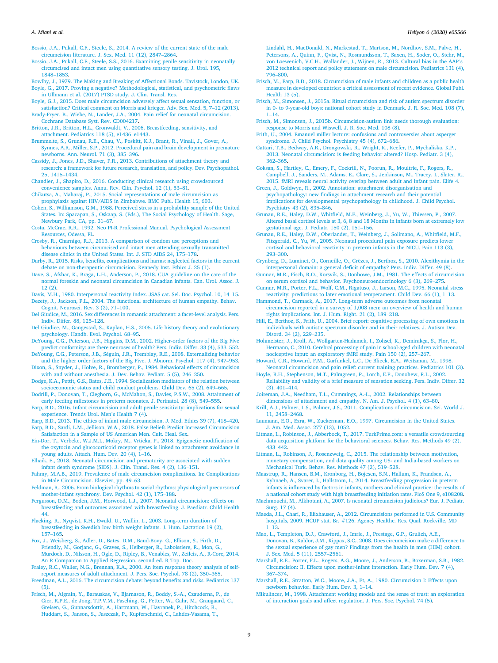<span id="page-8-20"></span>[Bossio, J.A., Pukall, C.F., Steele, S., 2014. A review of the current state of the male](http://refhub.elsevier.com/S2405-8440(20)32409-9/sref21) [circumcision literature. J. Sex. Med. 11 \(12\), 2847](http://refhub.elsevier.com/S2405-8440(20)32409-9/sref21)–[2864.](http://refhub.elsevier.com/S2405-8440(20)32409-9/sref21)

<span id="page-8-31"></span>[Bossio, J.A., Pukall, C.F., Steele, S.S., 2016. Examining penile sensitivity in neonatally](http://refhub.elsevier.com/S2405-8440(20)32409-9/sref22) [circumcised and intact men using quantitative sensory testing. J. Urol. 195,](http://refhub.elsevier.com/S2405-8440(20)32409-9/sref22) [1848](http://refhub.elsevier.com/S2405-8440(20)32409-9/sref22)–[1853](http://refhub.elsevier.com/S2405-8440(20)32409-9/sref22).

- <span id="page-8-44"></span><span id="page-8-11"></span>[Bowlby, J., 1979. The Making and Breaking of Affectional Bonds. Tavistock, London, UK.](http://refhub.elsevier.com/S2405-8440(20)32409-9/sref23) [Boyle, G., 2017. Proving a negative? Methodological, statistical, and psychometric](http://refhub.elsevier.com/S2405-8440(20)32409-9/sref24) flaws [in Ullmann et al. \(2017\) PTSD study. J. Clin. Transl. Res.](http://refhub.elsevier.com/S2405-8440(20)32409-9/sref24)
- <span id="page-8-21"></span>[Boyle, G.J., 2015. Does male circumcision adversely affect sexual sensation, function, or](http://refhub.elsevier.com/S2405-8440(20)32409-9/sref25) [satisfaction? Critical comment on Morris and krieger. Adv. Sex. Med. 5, 7](http://refhub.elsevier.com/S2405-8440(20)32409-9/sref25)–[12 \(2013\).](http://refhub.elsevier.com/S2405-8440(20)32409-9/sref25) [Brady-Fryer, B., Wiebe, N., Lander, J.A., 2004. Pain relief for neonatal circumcision.](http://refhub.elsevier.com/S2405-8440(20)32409-9/sref26)

<span id="page-8-45"></span><span id="page-8-16"></span>[Cochrane Database Syst. Rev. CD004217.](http://refhub.elsevier.com/S2405-8440(20)32409-9/sref26) [Britton, J.R., Britton, H.L., Gronwaldt, V., 2006. Breastfeeding, sensitivity, and](http://refhub.elsevier.com/S2405-8440(20)32409-9/sref27) [attachment. Pediatrics 118 \(5\), e1436](http://refhub.elsevier.com/S2405-8440(20)32409-9/sref27)–[e1443.](http://refhub.elsevier.com/S2405-8440(20)32409-9/sref27)

- <span id="page-8-54"></span>[Brummelte, S., Grunau, R.E., Chau, V., Poskitt, K.J., Brant, R., Vinall, J., Gover, A.,](http://refhub.elsevier.com/S2405-8440(20)32409-9/sref28) [Synnes, A.R., Miller, S.P., 2012. Procedural pain and brain development in premature](http://refhub.elsevier.com/S2405-8440(20)32409-9/sref28) [newborns. Ann. Neurol. 71 \(3\), 385](http://refhub.elsevier.com/S2405-8440(20)32409-9/sref28)–[396](http://refhub.elsevier.com/S2405-8440(20)32409-9/sref28).
- <span id="page-8-43"></span>[Cassidy, J., Jones, J.D., Shaver, P.R., 2013. Contributions of attachment theory and](http://refhub.elsevier.com/S2405-8440(20)32409-9/sref29) arch: a framework for future research, translation, and policy. Dev. Psychopathol. [25, 1415](http://refhub.elsevier.com/S2405-8440(20)32409-9/sref29)–[1434.](http://refhub.elsevier.com/S2405-8440(20)32409-9/sref29)
- <span id="page-8-34"></span>[Chandler, J., Shapiro, D., 2016. Conducting clinical research using crowdsourced](http://refhub.elsevier.com/S2405-8440(20)32409-9/sref30) [convenience samples. Annu. Rev. Clin. Psychol. 12 \(1\), 53](http://refhub.elsevier.com/S2405-8440(20)32409-9/sref30)–[81](http://refhub.elsevier.com/S2405-8440(20)32409-9/sref30).

<span id="page-8-64"></span>[Chikutsa, A., Maharaj, P., 2015. Social representations of male circumcision as](http://refhub.elsevier.com/S2405-8440(20)32409-9/sref31) [prophylaxis against HIV/AIDS in Zimbabwe. BMC Publ. Health 15, 603.](http://refhub.elsevier.com/S2405-8440(20)32409-9/sref31)

- <span id="page-8-40"></span>[Cohen, S., Williamson, G.M., 1988. Perceived stress in a probability sample of the United](http://refhub.elsevier.com/S2405-8440(20)32409-9/sref32) [States. In: Spacapan, S., Oskaap, S. \(Eds.\), The Social Psychology of Health. Sage,](http://refhub.elsevier.com/S2405-8440(20)32409-9/sref32) [Newbury Park, CA, pp. 31](http://refhub.elsevier.com/S2405-8440(20)32409-9/sref32)–[67](http://refhub.elsevier.com/S2405-8440(20)32409-9/sref32).
- <span id="page-8-38"></span>[Costa, McCrae, R.R., 1992. Neo PI-R Professional Manual. Psychological Assessment](http://refhub.elsevier.com/S2405-8440(20)32409-9/sref33) [Resources, Odessa, FL](http://refhub.elsevier.com/S2405-8440(20)32409-9/sref33).

<span id="page-8-65"></span>[Crosby, R., Charnigo, R.J., 2013. A comparison of condom use perceptions and](http://refhub.elsevier.com/S2405-8440(20)32409-9/sref34) [behaviours between circumcised and intact men attending sexually transmitted](http://refhub.elsevier.com/S2405-8440(20)32409-9/sref34) [disease clinics in the United States. Int. J. STD AIDS 24, 175](http://refhub.elsevier.com/S2405-8440(20)32409-9/sref34)–[178.](http://refhub.elsevier.com/S2405-8440(20)32409-9/sref34)

<span id="page-8-1"></span>Darby, R., 2015. Risks, benefi[ts, complications and harms: neglected factors in the current](http://refhub.elsevier.com/S2405-8440(20)32409-9/sref35) [debate on non-therapeutic circumcision. Kennedy Inst. Ethics J. 25 \(1\).](http://refhub.elsevier.com/S2405-8440(20)32409-9/sref35)

<span id="page-8-27"></span>[Dave, S., Afshar, K., Braga, L.H., Anderson, P., 2018. CUA guideline on the care of the](http://refhub.elsevier.com/S2405-8440(20)32409-9/sref36) [normal foreskin and neonatal circumcision in Canadian infants. Can. Urol. Assoc. J.](http://refhub.elsevier.com/S2405-8440(20)32409-9/sref36) [12 \(2\)](http://refhub.elsevier.com/S2405-8440(20)32409-9/sref36).

<span id="page-8-60"></span><span id="page-8-39"></span>[Davis, M.H., 1980. Interpersonal reactivity Index. JSAS cat. Sel. Doc. Psychol. 10, 14](http://refhub.elsevier.com/S2405-8440(20)32409-9/sref37)–[15.](http://refhub.elsevier.com/S2405-8440(20)32409-9/sref37) [Decety, J., Jackson, P.L., 2004. The functional architecture of human empathy. Behav.](http://refhub.elsevier.com/S2405-8440(20)32409-9/sref38)

<span id="page-8-23"></span>[Cognit. Neurosci. Rev. 3 \(2\), 71](http://refhub.elsevier.com/S2405-8440(20)32409-9/sref38)–[100.](http://refhub.elsevier.com/S2405-8440(20)32409-9/sref38) [Del Giudice, M., 2016. Sex differences in romantic attachment: a facet-level analysis. Pers.](http://refhub.elsevier.com/S2405-8440(20)32409-9/sref39) [Indiv. Differ. 88, 125](http://refhub.elsevier.com/S2405-8440(20)32409-9/sref39)–[128.](http://refhub.elsevier.com/S2405-8440(20)32409-9/sref39)

<span id="page-8-24"></span>[Del Giudice, M., Gangestad, S., Kaplan, H.S., 2005. Life history theory and evolutionary](http://refhub.elsevier.com/S2405-8440(20)32409-9/sref40) [psychology. Handb. Evol. Psychol. 68](http://refhub.elsevier.com/S2405-8440(20)32409-9/sref40)–[95](http://refhub.elsevier.com/S2405-8440(20)32409-9/sref40).

<span id="page-8-25"></span>[DeYoung, C.G., Peterson, J.B., Higgins, D.M., 2002. Higher-order factors of the Big Five](http://refhub.elsevier.com/S2405-8440(20)32409-9/sref41) [predict conformity: are there neuroses of health? Pers. Indiv. Differ. 33 \(4\), 533](http://refhub.elsevier.com/S2405-8440(20)32409-9/sref41)–[552.](http://refhub.elsevier.com/S2405-8440(20)32409-9/sref41) [DeYoung, C.G., Peterson, J.B., S](http://refhub.elsevier.com/S2405-8440(20)32409-9/sref42)éguin, J.R., Tremblay, R.E., 2008. Externalizing behavior

<span id="page-8-46"></span>[and the higher order factors of the Big Five. J. Abnorm. Psychol. 117 \(4\), 947](http://refhub.elsevier.com/S2405-8440(20)32409-9/sref42)–[953.](http://refhub.elsevier.com/S2405-8440(20)32409-9/sref42) [Dixon, S., Snyder, J., Holve, R., Bromberger, P., 1984. Behavioral effects of circumcision](http://refhub.elsevier.com/S2405-8440(20)32409-9/sref43)

<span id="page-8-62"></span><span id="page-8-3"></span>[with and without anesthesia. J. Dev. Behav. Pediatr. 5 \(5\), 246](http://refhub.elsevier.com/S2405-8440(20)32409-9/sref43)–[250.](http://refhub.elsevier.com/S2405-8440(20)32409-9/sref43) [Dodge, K.A., Pettit, G.S., Bates, J.E., 1994. Socialization mediators of the relation between](http://refhub.elsevier.com/S2405-8440(20)32409-9/sref44)

<span id="page-8-50"></span>[socioeconomic status and child conduct problems. Child Dev. 65 \(2\), 649](http://refhub.elsevier.com/S2405-8440(20)32409-9/sref44)–[665.](http://refhub.elsevier.com/S2405-8440(20)32409-9/sref44) [Dodrill, P., Donovan, T., Cleghorn, G., McMahon, S., Davies, P.S.W., 2008. Attainment of](http://refhub.elsevier.com/S2405-8440(20)32409-9/sref45)

- <span id="page-8-22"></span>[early feeding milestones in preterm neonates. J. Perinatol. 28 \(8\), 549](http://refhub.elsevier.com/S2405-8440(20)32409-9/sref45)–[555](http://refhub.elsevier.com/S2405-8440(20)32409-9/sref45). [Earp, B.D., 2016. Infant circumcision and adult penile sensitivity: implications for sexual](http://refhub.elsevier.com/S2405-8440(20)32409-9/sref46) [experience. Trends Urol. Men](http://refhub.elsevier.com/S2405-8440(20)32409-9/sref46)'s Health 7 (4).
- <span id="page-8-36"></span><span id="page-8-26"></span>[Earp, B.D., 2013. The ethics of infant male circumcision. J. Med. Ethics 39 \(7\), 418](http://refhub.elsevier.com/S2405-8440(20)32409-9/sref47)–[420.](http://refhub.elsevier.com/S2405-8440(20)32409-9/sref47) [Earp, B.D., Sardi, L.M., Jellison, W.A., 2018. False Beliefs Predict Increased Circumcision](http://refhub.elsevier.com/S2405-8440(20)32409-9/sref48)

<span id="page-8-55"></span>[Satisfaction in a Sample of US American Men. Cult. Heal. Sex](http://refhub.elsevier.com/S2405-8440(20)32409-9/sref48). [Ein-Dor, T., Verbeke, W.J.M.I., Mokry, M., Vrti](http://refhub.elsevier.com/S2405-8440(20)32409-9/sref49)[cka, P., 2018. Epigenetic modi](http://refhub.elsevier.com/S2405-8440(20)32409-9/sref49)fication of

[the oxytocin and glucocorticoid receptor genes is linked to attachment avoidance in](http://refhub.elsevier.com/S2405-8440(20)32409-9/sref49) [young adults. Attach. Hum. Dev. 20 \(4\), 1](http://refhub.elsevier.com/S2405-8440(20)32409-9/sref49)–[16.](http://refhub.elsevier.com/S2405-8440(20)32409-9/sref49)

<span id="page-8-17"></span>[Elhaik, E., 2018. Neonatal circumcision and prematurity are associated with sudden](http://refhub.elsevier.com/S2405-8440(20)32409-9/sref50) [infant death syndrome \(SIDS\). J. Clin. Transl. Res. 4 \(2\), 136](http://refhub.elsevier.com/S2405-8440(20)32409-9/sref50)–[151.](http://refhub.elsevier.com/S2405-8440(20)32409-9/sref50)

<span id="page-8-29"></span>[Fahmy, M.A.B., 2019. Prevalence of male circumcision complications. In: Complications](http://refhub.elsevier.com/S2405-8440(20)32409-9/sref51) [in Male Circumcision. Elsevier, pp. 49](http://refhub.elsevier.com/S2405-8440(20)32409-9/sref51)–[63.](http://refhub.elsevier.com/S2405-8440(20)32409-9/sref51)

<span id="page-8-53"></span>[Feldman, R., 2006. From biological rhythms to social rhythms: physiological precursors of](http://refhub.elsevier.com/S2405-8440(20)32409-9/sref52) [mother-infant synchrony. Dev. Psychol. 42 \(1\), 175](http://refhub.elsevier.com/S2405-8440(20)32409-9/sref52)–[188](http://refhub.elsevier.com/S2405-8440(20)32409-9/sref52).

<span id="page-8-4"></span>[Fergusson, D.M., Boden, J.M., Horwood, L.J., 2007. Neonatal circumcision: effects on](http://refhub.elsevier.com/S2405-8440(20)32409-9/sref53) [breastfeeding and outcomes associated with breastfeeding. J. Paediatr. Child Health](http://refhub.elsevier.com/S2405-8440(20)32409-9/sref53) [44.](http://refhub.elsevier.com/S2405-8440(20)32409-9/sref53)

<span id="page-8-51"></span>[Flacking, R., Nyqvist, K.H., Ewald, U., Wallin, L., 2003. Long-term duration of](http://refhub.elsevier.com/S2405-8440(20)32409-9/sref54) [breastfeeding in Swedish low birth weight infants. J. Hum. Lactation 19 \(2\),](http://refhub.elsevier.com/S2405-8440(20)32409-9/sref54) [157](http://refhub.elsevier.com/S2405-8440(20)32409-9/sref54)–[165](http://refhub.elsevier.com/S2405-8440(20)32409-9/sref54).

<span id="page-8-42"></span>[Fox, J., Weisberg, S., Adler, D., Bates, D.M., Baud-Bovy, G., Ellison, S., Firth, D.,](http://refhub.elsevier.com/S2405-8440(20)32409-9/sref55) [Friendly, M., Gorjanc, G., Graves, S., Heiberger, R., Laboissiere, R., Mon, G.,](http://refhub.elsevier.com/S2405-8440(20)32409-9/sref55) [Murdoch, D., Nilsson, H., Ogle, D., Ripley, B., Venables, W., Zeileis, A., R-Core, 2014.](http://refhub.elsevier.com/S2405-8440(20)32409-9/sref55) [An R Companion to Applied Regression, second ed. R Top. Doc](http://refhub.elsevier.com/S2405-8440(20)32409-9/sref55).

<span id="page-8-37"></span>[Fraley, R.C., Waller, N.G., Brennan, K.A., 2000. An item response theory analysis of self](http://refhub.elsevier.com/S2405-8440(20)32409-9/sref56)[report measures of adult attachment. J. Pers. Soc. Psychol. 78 \(2\), 350](http://refhub.elsevier.com/S2405-8440(20)32409-9/sref56)–[365.](http://refhub.elsevier.com/S2405-8440(20)32409-9/sref56)

<span id="page-8-2"></span>[Freedman, A.L., 2016. The circumcision debate: beyond bene](http://refhub.elsevier.com/S2405-8440(20)32409-9/sref57)fits and risks. Pediatrics 137 [\(5\).](http://refhub.elsevier.com/S2405-8440(20)32409-9/sref57)

<span id="page-8-28"></span>[Frisch, M., Aigrain, Y., Barauskas, V., Bjarnason, R., Boddy, S.-A., Czauderna, P., de](http://refhub.elsevier.com/S2405-8440(20)32409-9/sref58) [Gier, R.P.E., de Jong, T.P.V.M., Fasching, G., Fetter, W., Gahr, M., Graugaard, C.,](http://refhub.elsevier.com/S2405-8440(20)32409-9/sref58) [Greisen, G., Gunnarsdottir, A., Hartmann, W., Havranek, P., Hitchcock, R.,](http://refhub.elsevier.com/S2405-8440(20)32409-9/sref58) [Huddart, S., Janson, S., Jaszczak, P., Kupferschmid, C., Lahdes-Vasama, T.,](http://refhub.elsevier.com/S2405-8440(20)32409-9/sref58)

[Lindahl, H., MacDonald, N., Markestad, T., Martson, M., Nordhov, S.M., Palve, H.,](http://refhub.elsevier.com/S2405-8440(20)32409-9/sref58) [Petersons, A., Quinn, F., Qvist, N., Rosmundsson, T., Saxen, H., Soder, O., Stehr, M.,](http://refhub.elsevier.com/S2405-8440(20)32409-9/sref58) [von Loewenich, V.C.H., Wallander, J., Wijnen, R., 2013. Cultural bias in the AAP](http://refhub.elsevier.com/S2405-8440(20)32409-9/sref58)'<sup>s</sup> [2012 technical report and policy statement on male circumcision. Pediatrics 131 \(4\),](http://refhub.elsevier.com/S2405-8440(20)32409-9/sref58) [796](http://refhub.elsevier.com/S2405-8440(20)32409-9/sref58)–[800](http://refhub.elsevier.com/S2405-8440(20)32409-9/sref58).

<span id="page-8-15"></span>[Frisch, M., Earp, B.D., 2018. Circumcision of male infants and children as a public health](http://refhub.elsevier.com/S2405-8440(20)32409-9/sref59) [measure in developed countries: a critical assessment of recent evidence. Global Publ.](http://refhub.elsevier.com/S2405-8440(20)32409-9/sref59) [Health 13 \(5\)](http://refhub.elsevier.com/S2405-8440(20)32409-9/sref59).

<span id="page-8-10"></span>[Frisch, M., Simonsen, J., 2015a. Ritual circumcision and risk of autism spectrum disorder](http://refhub.elsevier.com/S2405-8440(20)32409-9/sref60) [in 0- to 9-year-old boys: national cohort study in Denmark. J. R. Soc. Med. 108 \(7\),](http://refhub.elsevier.com/S2405-8440(20)32409-9/sref60) [1](http://refhub.elsevier.com/S2405-8440(20)32409-9/sref60)–[14.](http://refhub.elsevier.com/S2405-8440(20)32409-9/sref60)

<span id="page-8-12"></span>[Frisch, M., Simonsen, J., 2015b. Circumcision-autism link needs thorough evaluation:](http://refhub.elsevier.com/S2405-8440(20)32409-9/sref61) [response to Morris and Wiswell. J. R. Soc. Med. 108 \(8\).](http://refhub.elsevier.com/S2405-8440(20)32409-9/sref61)

<span id="page-8-58"></span>[Frith, U., 2004. Emanuel miller lecture: confusions and controversies about asperger](http://refhub.elsevier.com/S2405-8440(20)32409-9/sref62) [syndrome. J. Child Psychol. Psychiatry 45 \(4\), 672](http://refhub.elsevier.com/S2405-8440(20)32409-9/sref62)–[686.](http://refhub.elsevier.com/S2405-8440(20)32409-9/sref62)

<span id="page-8-5"></span>[Gattari, T.B., Bedway, A.R., Drongowski, R., Wright, K., Keefer, P., Mychaliska, K.P.,](http://refhub.elsevier.com/S2405-8440(20)32409-9/sref63) [2013. Neonatal circumcision: is feeding behavior altered? Hosp. Pediatr. 3 \(4\),](http://refhub.elsevier.com/S2405-8440(20)32409-9/sref63) [362](http://refhub.elsevier.com/S2405-8440(20)32409-9/sref63)–[365](http://refhub.elsevier.com/S2405-8440(20)32409-9/sref63).

<span id="page-8-13"></span>[Goksan, S., Hartley, C., Emery, F., Cockrill, N., Poorun, R., Moultrie, F., Rogers, R.,](http://refhub.elsevier.com/S2405-8440(20)32409-9/sref64) [Campbell, J., Sanders, M., Adams, E., Clare, S., Jenkinson, M., Tracey, I., Slater, R.,](http://refhub.elsevier.com/S2405-8440(20)32409-9/sref64) [2015. fMRI reveals neural activity overlap between adult and infant pain. Elife 4](http://refhub.elsevier.com/S2405-8440(20)32409-9/sref64).

<span id="page-8-47"></span>[Green, J., Goldwyn, R., 2002. Annotation: attachment disorganisation and](http://refhub.elsevier.com/S2405-8440(20)32409-9/sref65) psychopathology: new fi[ndings in attachment research and their potential](http://refhub.elsevier.com/S2405-8440(20)32409-9/sref65) [implications for developmental psychopathology in childhood. J. Child Psychol.](http://refhub.elsevier.com/S2405-8440(20)32409-9/sref65) [Psychiatry 43 \(2\), 835](http://refhub.elsevier.com/S2405-8440(20)32409-9/sref65)–[846](http://refhub.elsevier.com/S2405-8440(20)32409-9/sref65).

- <span id="page-8-49"></span>Grunau, R.E., Haley, D.W., Whitfi[eld, M.F., Weinberg, J., Yu, W., Thiessen, P., 2007.](http://refhub.elsevier.com/S2405-8440(20)32409-9/sref66) [Altered basal cortisol levels at 3, 6, 8 and 18 Months in infants born at extremely low](http://refhub.elsevier.com/S2405-8440(20)32409-9/sref66) [gestational age. J. Pediatr. 150 \(2\), 151](http://refhub.elsevier.com/S2405-8440(20)32409-9/sref66)–[156](http://refhub.elsevier.com/S2405-8440(20)32409-9/sref66).
- <span id="page-8-48"></span>[Grunau, R.E., Haley, D.W., Oberlander, T., Weinberg, J., Solimano, A., Whit](http://refhub.elsevier.com/S2405-8440(20)32409-9/sref67)field, M.F., [Fitzgerald, C., Yu, W., 2005. Neonatal procedural pain exposure predicts lower](http://refhub.elsevier.com/S2405-8440(20)32409-9/sref67) [cortisol and behavioral reactivity in preterm infants in the NICU. Pain 113 \(3\),](http://refhub.elsevier.com/S2405-8440(20)32409-9/sref67) [293](http://refhub.elsevier.com/S2405-8440(20)32409-9/sref67)–[300](http://refhub.elsevier.com/S2405-8440(20)32409-9/sref67).

<span id="page-8-61"></span>[Grynberg, D., Luminet, O., Corneille, O., Gr](http://refhub.elsevier.com/S2405-8440(20)32409-9/sref68)[ezes, J., Berthoz, S., 2010. Alexithymia in the](http://refhub.elsevier.com/S2405-8440(20)32409-9/sref68) interpersonal domain: a general defi[cit of empathy? Pers. Indiv. Differ. 49 \(8\)](http://refhub.elsevier.com/S2405-8440(20)32409-9/sref68).

<span id="page-8-6"></span>[Gunnar, M.R., Fisch, R.O., Korsvik, S., Donhowe, J.M., 1981. The effects of circumcision](http://refhub.elsevier.com/S2405-8440(20)32409-9/sref69) [on serum cortisol and behavior. Psychoneuroendocrinology 6 \(3\), 269](http://refhub.elsevier.com/S2405-8440(20)32409-9/sref69)–[275](http://refhub.elsevier.com/S2405-8440(20)32409-9/sref69).

<span id="page-8-7"></span>[Gunnar, M.R., Porter, F.L., Wolf, C.M., Rigatuso, J., Larson, M.C., 1995. Neonatal stress](http://refhub.elsevier.com/S2405-8440(20)32409-9/sref70) [reactivity: predictions to later emotional temperament. Child Dev. 66 \(1\), 1](http://refhub.elsevier.com/S2405-8440(20)32409-9/sref70)–[13](http://refhub.elsevier.com/S2405-8440(20)32409-9/sref70).

- <span id="page-8-32"></span>[Hammond, T., Carmack, A., 2017. Long-term adverse outcomes from neonatal](http://refhub.elsevier.com/S2405-8440(20)32409-9/sref71) [circumcision reported in a survey of 1,008 men: an overview of health and human](http://refhub.elsevier.com/S2405-8440(20)32409-9/sref71) [rights implications. Int. J. Hum. Right. 21 \(2\), 189](http://refhub.elsevier.com/S2405-8440(20)32409-9/sref71)–[218](http://refhub.elsevier.com/S2405-8440(20)32409-9/sref71).
- <span id="page-8-59"></span>[Hill, E., Berthoz, S., Frith, U., 2004. Brief report: cognitive processing of own emotions in](http://refhub.elsevier.com/S2405-8440(20)32409-9/sref72) [individuals with autistic spectrum disorder and in their relatives. J. Autism Dev.](http://refhub.elsevier.com/S2405-8440(20)32409-9/sref72) [Disord. 34 \(2\), 229](http://refhub.elsevier.com/S2405-8440(20)32409-9/sref72)–[235.](http://refhub.elsevier.com/S2405-8440(20)32409-9/sref72)
- <span id="page-8-14"></span>[Hohmeister, J., Kroll, A., Wollgarten-Hadamek, I., Zohsel, K., Demirakça, S., Flor, H.,](http://refhub.elsevier.com/S2405-8440(20)32409-9/sref73) [Hermann, C., 2010. Cerebral processing of pain in school-aged children with neonatal](http://refhub.elsevier.com/S2405-8440(20)32409-9/sref73) [nociceptive input: an exploratory fMRI study. Pain 150 \(2\), 257](http://refhub.elsevier.com/S2405-8440(20)32409-9/sref73)–[267.](http://refhub.elsevier.com/S2405-8440(20)32409-9/sref73)

<span id="page-8-18"></span>[Howard, C.R., Howard, F.M., Garfunkel, L.C., De Blieck, E.A., Weitzman, M., 1998.](http://refhub.elsevier.com/S2405-8440(20)32409-9/sref74) [Neonatal circumcision and pain relief: current training practices. Pediatrics 101 \(3\).](http://refhub.elsevier.com/S2405-8440(20)32409-9/sref74)

<span id="page-8-41"></span>[Hoyle, R.H., Stephenson, M.T., Palmgreen, P., Lorch, E.P., Donohew, R.L., 2002.](http://refhub.elsevier.com/S2405-8440(20)32409-9/sref75) [Reliability and validity of a brief measure of sensation seeking. Pers. Indiv. Differ. 32](http://refhub.elsevier.com/S2405-8440(20)32409-9/sref75) [\(3\), 401](http://refhub.elsevier.com/S2405-8440(20)32409-9/sref75)–[414.](http://refhub.elsevier.com/S2405-8440(20)32409-9/sref75)

<span id="page-8-56"></span>[Joireman, J.A., Needham, T.L., Cummings, A.-L., 2002. Relationships between](http://refhub.elsevier.com/S2405-8440(20)32409-9/sref76)

- <span id="page-8-30"></span>[dimensions of attachment and empathy. N. Am. J. Psychol. 4 \(1\), 63](http://refhub.elsevier.com/S2405-8440(20)32409-9/sref76)–[80.](http://refhub.elsevier.com/S2405-8440(20)32409-9/sref76) [Krill, A.J., Palmer, L.S., Palmer, J.S., 2011. Complications of circumcision. Sci. World J.](http://refhub.elsevier.com/S2405-8440(20)32409-9/sref77)
- <span id="page-8-66"></span>[11, 2458](http://refhub.elsevier.com/S2405-8440(20)32409-9/sref77)–[2468](http://refhub.elsevier.com/S2405-8440(20)32409-9/sref77). [Laumann, E.O., Ezra, W., Zuckerman, E.O., 1997. Circumcision in the United States.](http://refhub.elsevier.com/S2405-8440(20)32409-9/sref78) [J. Am. Med. Assoc. 277 \(13\), 1052.](http://refhub.elsevier.com/S2405-8440(20)32409-9/sref78)

<span id="page-8-33"></span>[Litman, L., Robinson, J., Abberbock, T., 2017. TurkPrime.com: a versatile crowdsourcing](http://refhub.elsevier.com/S2405-8440(20)32409-9/sref79) [data acquisition platform for the behavioral sciences. Behav. Res. Methods 49 \(2\),](http://refhub.elsevier.com/S2405-8440(20)32409-9/sref79) [433](http://refhub.elsevier.com/S2405-8440(20)32409-9/sref79)–[442](http://refhub.elsevier.com/S2405-8440(20)32409-9/sref79).

<span id="page-8-35"></span>[Litman, L., Robinson, J., Rosenzweig, C., 2015. The relationship between motivation,](http://refhub.elsevier.com/S2405-8440(20)32409-9/sref80) [monetary compensation, and data quality among US- and India-based workers on](http://refhub.elsevier.com/S2405-8440(20)32409-9/sref80) [Mechanical Turk. Behav. Res. Methods 47 \(2\), 519](http://refhub.elsevier.com/S2405-8440(20)32409-9/sref80)–[528.](http://refhub.elsevier.com/S2405-8440(20)32409-9/sref80)

<span id="page-8-52"></span>[Maastrup, R., Hansen, B.M., Kronborg, H., Bojesen, S.N., Hallum, K., Frandsen, A.,](http://refhub.elsevier.com/S2405-8440(20)32409-9/sref81) Kyhnaeb, A., Svarer, I., Hallström, I., 2014. Breastfeeding progression in preterm infants is infl[uenced by factors in infants, mothers and clinical practice: the results of](http://refhub.elsevier.com/S2405-8440(20)32409-9/sref81) [a national cohort study with high breastfeeding initiation rates. PloS One 9, e108208.](http://refhub.elsevier.com/S2405-8440(20)32409-9/sref81)

<span id="page-8-19"></span>[Machmouchi, M., Alkhotani, A., 2007. Is neonatal circumcision judicious? Eur. J. Pediatr.](http://refhub.elsevier.com/S2405-8440(20)32409-9/sref82) [Surg. 17 \(4\).](http://refhub.elsevier.com/S2405-8440(20)32409-9/sref82)

<span id="page-8-0"></span>[Maeda, J.L., Chari, R., Elixhauser, A., 2012. Circumcisions performed in U.S. Community](http://refhub.elsevier.com/S2405-8440(20)32409-9/sref83) [hospitals, 2009. HCUP stat. Br. #126. Agency Healthc. Res. Qual. Rockville, MD](http://refhub.elsevier.com/S2405-8440(20)32409-9/sref83) [1](http://refhub.elsevier.com/S2405-8440(20)32409-9/sref83)–[13.](http://refhub.elsevier.com/S2405-8440(20)32409-9/sref83)

<span id="page-8-63"></span>[Mao, L., Templeton, D.J., Crawford, J., Imrie, J., Prestage, G.P., Grulich, A.E.,](http://refhub.elsevier.com/S2405-8440(20)32409-9/sref84) [Donovan, B., Kaldor, J.M., Kippax, S.C., 2008. Does circumcision make a difference to](http://refhub.elsevier.com/S2405-8440(20)32409-9/sref84) [the sexual experience of gay men? Findings from the health in men \(HIM\) cohort.](http://refhub.elsevier.com/S2405-8440(20)32409-9/sref84) [J. Sex. Med. 5 \(11\), 2557](http://refhub.elsevier.com/S2405-8440(20)32409-9/sref84)–[2561.](http://refhub.elsevier.com/S2405-8440(20)32409-9/sref84)

<span id="page-8-9"></span>[Marshall, R.E., Porter, F.L., Rogers, A.G., Moore, J., Anderson, B., Boxerman, S.B., 1982.](http://refhub.elsevier.com/S2405-8440(20)32409-9/sref85) [Circumcision: II. Effects upon mother-infant interaction. Early Hum. Dev. 7 \(4\),](http://refhub.elsevier.com/S2405-8440(20)32409-9/sref85) [367](http://refhub.elsevier.com/S2405-8440(20)32409-9/sref85)–[374](http://refhub.elsevier.com/S2405-8440(20)32409-9/sref85).

<span id="page-8-8"></span>[Marshall, R.E., Stratton, W.C., Moore, J.A., Et, A., 1980. Circumcision I: Effects upon](http://refhub.elsevier.com/S2405-8440(20)32409-9/sref86) [newborn behavior. Early Hum. Dev. 3, 1](http://refhub.elsevier.com/S2405-8440(20)32409-9/sref86)–[14](http://refhub.elsevier.com/S2405-8440(20)32409-9/sref86).

<span id="page-8-57"></span>[Mikulincer, M., 1998. Attachment working models and the sense of trust: an exploration](http://refhub.elsevier.com/S2405-8440(20)32409-9/sref87) [of interaction goals and affect regulation. J. Pers. Soc. Psychol. 74 \(5\).](http://refhub.elsevier.com/S2405-8440(20)32409-9/sref87)